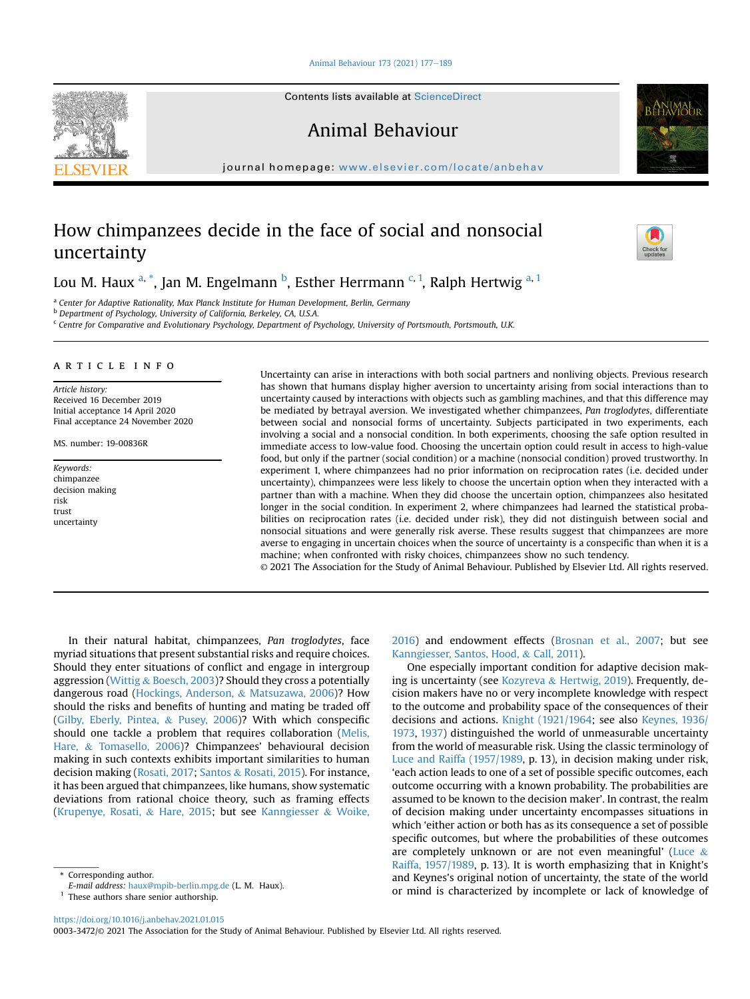#### [Animal Behaviour 173 \(2021\) 177](https://doi.org/10.1016/j.anbehav.2021.01.015)-[189](https://doi.org/10.1016/j.anbehav.2021.01.015)

Contents lists available at ScienceDirect

Animal Behaviour

journal homepage: [www.elsevier.com/locate/anbehav](http://www.elsevier.com/locate/anbehav)

# How chimpanzees decide in the face of social and nonsocial uncertainty

Lou M. H[a](#page-0-0)ux <sup>a, [\\*](#page-0-1)</sup>, Jan M. Engelmann <sup>[b](#page-0-2)</sup>, Esther Herrmann <sup>[c](#page-0-3), [1](#page-0-4)</sup>, Ralph Hertwig <sup>a, 1</sup>

<span id="page-0-0"></span><sup>a</sup> Center for Adaptive Rationality, Max Planck Institute for Human Development, Berlin, Germany

<span id="page-0-2"></span>b Department of Psychology, University of California, Berkeley, CA, U.S.A.

<span id="page-0-3"></span><sup>c</sup> Centre for Comparative and Evolutionary Psychology, Department of Psychology, University of Portsmouth, Portsmouth, U.K.

## article info

Article history: Received 16 December 2019 Initial acceptance 14 April 2020 Final acceptance 24 November 2020

MS. number: 19-00836R

Keywords: chimpanzee decision making risk trust uncertainty

Uncertainty can arise in interactions with both social partners and nonliving objects. Previous research has shown that humans display higher aversion to uncertainty arising from social interactions than to uncertainty caused by interactions with objects such as gambling machines, and that this difference may be mediated by betrayal aversion. We investigated whether chimpanzees, Pan troglodytes, differentiate between social and nonsocial forms of uncertainty. Subjects participated in two experiments, each involving a social and a nonsocial condition. In both experiments, choosing the safe option resulted in immediate access to low-value food. Choosing the uncertain option could result in access to high-value food, but only if the partner (social condition) or a machine (nonsocial condition) proved trustworthy. In experiment 1, where chimpanzees had no prior information on reciprocation rates (i.e. decided under uncertainty), chimpanzees were less likely to choose the uncertain option when they interacted with a partner than with a machine. When they did choose the uncertain option, chimpanzees also hesitated longer in the social condition. In experiment 2, where chimpanzees had learned the statistical probabilities on reciprocation rates (i.e. decided under risk), they did not distinguish between social and nonsocial situations and were generally risk averse. These results suggest that chimpanzees are more averse to engaging in uncertain choices when the source of uncertainty is a conspecific than when it is a machine; when confronted with risky choices, chimpanzees show no such tendency.

© 2021 The Association for the Study of Animal Behaviour. Published by Elsevier Ltd. All rights reserved.

In their natural habitat, chimpanzees, Pan troglodytes, face myriad situations that present substantial risks and require choices. Should they enter situations of conflict and engage in intergroup aggression [\(Wittig](#page-9-0) & [Boesch, 2003\)](#page-9-0)? Should they cross a potentially dangerous road [\(Hockings, Anderson,](#page-9-1) & [Matsuzawa, 2006](#page-9-1))? How should the risks and benefits of hunting and mating be traded off ([Gilby, Eberly, Pintea,](#page-9-2) & [Pusey, 2006\)](#page-9-2)? With which conspecific should one tackle a problem that requires collaboration [\(Melis,](#page-9-3) [Hare,](#page-9-3) & [Tomasello, 2006](#page-9-3))? Chimpanzees' behavioural decision making in such contexts exhibits important similarities to human decision making [\(Rosati, 2017;](#page-9-4) [Santos](#page-9-5) & [Rosati, 2015](#page-9-5)). For instance, it has been argued that chimpanzees, like humans, show systematic deviations from rational choice theory, such as framing effects ([Krupenye, Rosati,](#page-9-6) & [Hare, 2015](#page-9-6); but see [Kanngiesser](#page-9-7) & [Woike,](#page-9-7)

<span id="page-0-4"></span> $<sup>1</sup>$  These authors share senior authorship.</sup>

[2016\)](#page-9-7) and endowment effects [\(Brosnan et al., 2007](#page-8-0); but see [Kanngiesser, Santos, Hood,](#page-9-8) & [Call, 2011](#page-9-8)).

One especially important condition for adaptive decision making is uncertainty (see [Kozyreva](#page-9-9) & [Hertwig, 2019](#page-9-9)). Frequently, decision makers have no or very incomplete knowledge with respect to the outcome and probability space of the consequences of their decisions and actions. [Knight \(1921/1964](#page-9-10); see also [Keynes, 1936/](#page-9-11) [1973,](#page-9-11) [1937](#page-9-12)) distinguished the world of unmeasurable uncertainty from the world of measurable risk. Using the classic terminology of [Luce and Raiffa \(1957/1989](#page-9-13), p. 13), in decision making under risk, 'each action leads to one of a set of possible specific outcomes, each outcome occurring with a known probability. The probabilities are assumed to be known to the decision maker'. In contrast, the realm of decision making under uncertainty encompasses situations in which 'either action or both has as its consequence a set of possible specific outcomes, but where the probabilities of these outcomes are completely unknown or are not even meaningful' ([Luce](#page-9-13)  $\&$ [Raiffa, 1957/1989,](#page-9-13) p. 13). It is worth emphasizing that in Knight's and Keynes's original notion of uncertainty, the state of the world or mind is characterized by incomplete or lack of knowledge of



0003-3472/© 2021 The Association for the Study of Animal Behaviour. Published by Elsevier Ltd. All rights reserved.

<span id="page-0-1"></span><sup>\*</sup> Corresponding author.

E-mail address: [haux@mpib-berlin.mpg.de](mailto:haux@mpib-berlin.mpg.de) (L. M. Haux).

<https://doi.org/10.1016/j.anbehav.2021.01.015>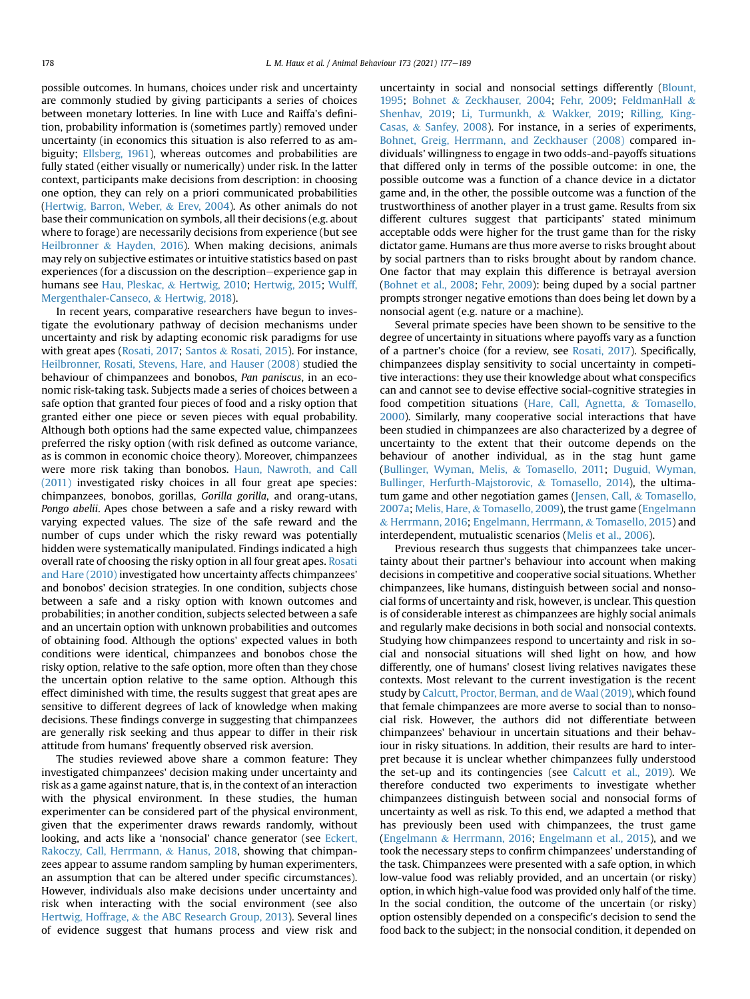possible outcomes. In humans, choices under risk and uncertainty are commonly studied by giving participants a series of choices between monetary lotteries. In line with Luce and Raiffa's definition, probability information is (sometimes partly) removed under uncertainty (in economics this situation is also referred to as ambiguity; [Ellsberg, 1961\)](#page-8-1), whereas outcomes and probabilities are fully stated (either visually or numerically) under risk. In the latter context, participants make decisions from description: in choosing one option, they can rely on a priori communicated probabilities ([Hertwig, Barron, Weber,](#page-9-14) & [Erev, 2004](#page-9-14)). As other animals do not base their communication on symbols, all their decisions (e.g. about where to forage) are necessarily decisions from experience (but see [Heilbronner](#page-9-15) & [Hayden, 2016\)](#page-9-15). When making decisions, animals may rely on subjective estimates or intuitive statistics based on past experiences (for a discussion on the description–experience gap in humans see [Hau, Pleskac,](#page-9-16) & [Hertwig, 2010;](#page-9-16) [Hertwig, 2015](#page-9-17); [Wulff,](#page-10-0) [Mergenthaler-Canseco,](#page-10-0) & [Hertwig, 2018](#page-10-0)).

In recent years, comparative researchers have begun to investigate the evolutionary pathway of decision mechanisms under uncertainty and risk by adapting economic risk paradigms for use with great apes [\(Rosati, 2017](#page-9-4); [Santos](#page-9-5) & [Rosati, 2015\)](#page-9-5). For instance, [Heilbronner, Rosati, Stevens, Hare, and Hauser \(2008\)](#page-9-18) studied the behaviour of chimpanzees and bonobos, Pan paniscus, in an economic risk-taking task. Subjects made a series of choices between a safe option that granted four pieces of food and a risky option that granted either one piece or seven pieces with equal probability. Although both options had the same expected value, chimpanzees preferred the risky option (with risk defined as outcome variance, as is common in economic choice theory). Moreover, chimpanzees were more risk taking than bonobos. [Haun, Nawroth, and Call](#page-9-19) [\(2011\)](#page-9-19) investigated risky choices in all four great ape species: chimpanzees, bonobos, gorillas, Gorilla gorilla, and orang-utans, Pongo abelii. Apes chose between a safe and a risky reward with varying expected values. The size of the safe reward and the number of cups under which the risky reward was potentially hidden were systematically manipulated. Findings indicated a high overall rate of choosing the risky option in all four great apes. [Rosati](#page-9-20) [and Hare \(2010\)](#page-9-20) investigated how uncertainty affects chimpanzees' and bonobos' decision strategies. In one condition, subjects chose between a safe and a risky option with known outcomes and probabilities; in another condition, subjects selected between a safe and an uncertain option with unknown probabilities and outcomes of obtaining food. Although the options' expected values in both conditions were identical, chimpanzees and bonobos chose the risky option, relative to the safe option, more often than they chose the uncertain option relative to the same option. Although this effect diminished with time, the results suggest that great apes are sensitive to different degrees of lack of knowledge when making decisions. These findings converge in suggesting that chimpanzees are generally risk seeking and thus appear to differ in their risk attitude from humans' frequently observed risk aversion.

The studies reviewed above share a common feature: They investigated chimpanzees' decision making under uncertainty and risk as a game against nature, that is, in the context of an interaction with the physical environment. In these studies, the human experimenter can be considered part of the physical environment, given that the experimenter draws rewards randomly, without looking, and acts like a 'nonsocial' chance generator (see [Eckert,](#page-8-2) [Rakoczy, Call, Herrmann,](#page-8-2) & [Hanus, 2018,](#page-8-2) showing that chimpanzees appear to assume random sampling by human experimenters, an assumption that can be altered under specific circumstances). However, individuals also make decisions under uncertainty and risk when interacting with the social environment (see also [Hertwig, Hoffrage,](#page-9-21) & [the ABC Research Group, 2013\)](#page-9-21). Several lines of evidence suggest that humans process and view risk and uncertainty in social and nonsocial settings differently [\(Blount,](#page-8-3) [1995](#page-8-3); [Bohnet](#page-8-4) & [Zeckhauser, 2004;](#page-8-4) [Fehr, 2009;](#page-8-5) [FeldmanHall](#page-8-6) & [Shenhav, 2019;](#page-8-6) [Li, Turmunkh,](#page-9-22) & [Wakker, 2019;](#page-9-22) [Rilling, King-](#page-9-23)[Casas,](#page-9-23) & [Sanfey, 2008](#page-9-23)). For instance, in a series of experiments, [Bohnet, Greig, Herrmann, and Zeckhauser \(2008\)](#page-8-7) compared individuals' willingness to engage in two odds-and-payoffs situations that differed only in terms of the possible outcome: in one, the possible outcome was a function of a chance device in a dictator game and, in the other, the possible outcome was a function of the trustworthiness of another player in a trust game. Results from six different cultures suggest that participants' stated minimum acceptable odds were higher for the trust game than for the risky dictator game. Humans are thus more averse to risks brought about by social partners than to risks brought about by random chance. One factor that may explain this difference is betrayal aversion ([Bohnet et al., 2008;](#page-8-7) [Fehr, 2009\)](#page-8-5): being duped by a social partner prompts stronger negative emotions than does being let down by a nonsocial agent (e.g. nature or a machine).

Several primate species have been shown to be sensitive to the degree of uncertainty in situations where payoffs vary as a function of a partner's choice (for a review, see [Rosati, 2017\)](#page-9-4). Specifically, chimpanzees display sensitivity to social uncertainty in competitive interactions: they use their knowledge about what conspecifics can and cannot see to devise effective social-cognitive strategies in food competition situations [\(Hare, Call, Agnetta,](#page-9-24) & [Tomasello,](#page-9-24) [2000](#page-9-24)). Similarly, many cooperative social interactions that have been studied in chimpanzees are also characterized by a degree of uncertainty to the extent that their outcome depends on the behaviour of another individual, as in the stag hunt game ([Bullinger, Wyman, Melis,](#page-8-8) & [Tomasello, 2011](#page-8-8); [Duguid, Wyman,](#page-8-9) [Bullinger, Herfurth-Majstorovic,](#page-8-9) & [Tomasello, 2014\)](#page-8-9), the ultimatum game and other negotiation games ([Jensen, Call,](#page-9-25) & [Tomasello,](#page-9-25) [2007a](#page-9-25); [Melis, Hare,](#page-9-26) & [Tomasello, 2009](#page-9-26)), the trust game [\(Engelmann](#page-8-10) & [Herrmann, 2016](#page-8-10); [Engelmann, Herrmann,](#page-8-11) & [Tomasello, 2015\)](#page-8-11) and interdependent, mutualistic scenarios [\(Melis et al., 2006](#page-9-3)).

Previous research thus suggests that chimpanzees take uncertainty about their partner's behaviour into account when making decisions in competitive and cooperative social situations. Whether chimpanzees, like humans, distinguish between social and nonsocial forms of uncertainty and risk, however, is unclear. This question is of considerable interest as chimpanzees are highly social animals and regularly make decisions in both social and nonsocial contexts. Studying how chimpanzees respond to uncertainty and risk in social and nonsocial situations will shed light on how, and how differently, one of humans' closest living relatives navigates these contexts. Most relevant to the current investigation is the recent study by [Calcutt, Proctor, Berman, and de Waal \(2019\),](#page-8-12) which found that female chimpanzees are more averse to social than to nonsocial risk. However, the authors did not differentiate between chimpanzees' behaviour in uncertain situations and their behaviour in risky situations. In addition, their results are hard to interpret because it is unclear whether chimpanzees fully understood the set-up and its contingencies (see [Calcutt et al., 2019\)](#page-8-12). We therefore conducted two experiments to investigate whether chimpanzees distinguish between social and nonsocial forms of uncertainty as well as risk. To this end, we adapted a method that has previously been used with chimpanzees, the trust game ([Engelmann](#page-8-10) & [Herrmann, 2016](#page-8-10); [Engelmann et al., 2015](#page-8-11)), and we took the necessary steps to confirm chimpanzees' understanding of the task. Chimpanzees were presented with a safe option, in which low-value food was reliably provided, and an uncertain (or risky) option, in which high-value food was provided only half of the time. In the social condition, the outcome of the uncertain (or risky) option ostensibly depended on a conspecific's decision to send the food back to the subject; in the nonsocial condition, it depended on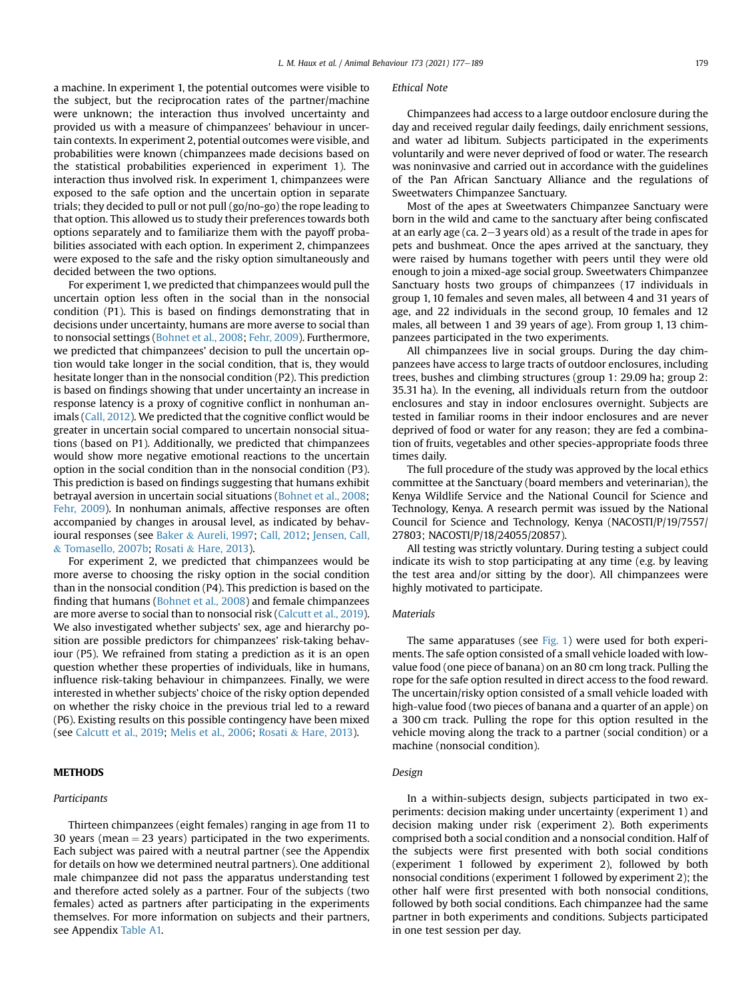a machine. In experiment 1, the potential outcomes were visible to the subject, but the reciprocation rates of the partner/machine were unknown; the interaction thus involved uncertainty and provided us with a measure of chimpanzees' behaviour in uncertain contexts. In experiment 2, potential outcomes were visible, and probabilities were known (chimpanzees made decisions based on the statistical probabilities experienced in experiment 1). The interaction thus involved risk. In experiment 1, chimpanzees were exposed to the safe option and the uncertain option in separate trials; they decided to pull or not pull (go/no-go) the rope leading to that option. This allowed us to study their preferences towards both options separately and to familiarize them with the payoff probabilities associated with each option. In experiment 2, chimpanzees were exposed to the safe and the risky option simultaneously and decided between the two options.

For experiment 1, we predicted that chimpanzees would pull the uncertain option less often in the social than in the nonsocial condition (P1). This is based on findings demonstrating that in decisions under uncertainty, humans are more averse to social than to nonsocial settings ([Bohnet et al., 2008](#page-8-7); [Fehr, 2009](#page-8-5)). Furthermore, we predicted that chimpanzees' decision to pull the uncertain option would take longer in the social condition, that is, they would hesitate longer than in the nonsocial condition (P2). This prediction is based on findings showing that under uncertainty an increase in response latency is a proxy of cognitive conflict in nonhuman animals ([Call, 2012](#page-8-13)). We predicted that the cognitive conflict would be greater in uncertain social compared to uncertain nonsocial situations (based on P1). Additionally, we predicted that chimpanzees would show more negative emotional reactions to the uncertain option in the social condition than in the nonsocial condition (P3). This prediction is based on findings suggesting that humans exhibit betrayal aversion in uncertain social situations [\(Bohnet et al., 2008;](#page-8-7) [Fehr, 2009](#page-8-5)). In nonhuman animals, affective responses are often accompanied by changes in arousal level, as indicated by behavioural responses (see [Baker](#page-8-14) & [Aureli, 1997](#page-8-14); [Call, 2012](#page-8-13); [Jensen, Call,](#page-9-27) & [Tomasello, 2007b;](#page-9-27) [Rosati](#page-9-28) & [Hare, 2013\)](#page-9-28).

For experiment 2, we predicted that chimpanzees would be more averse to choosing the risky option in the social condition than in the nonsocial condition (P4). This prediction is based on the finding that humans ([Bohnet et al., 2008](#page-8-7)) and female chimpanzees are more averse to social than to nonsocial risk [\(Calcutt et al., 2019\)](#page-8-12). We also investigated whether subjects' sex, age and hierarchy position are possible predictors for chimpanzees' risk-taking behaviour (P5). We refrained from stating a prediction as it is an open question whether these properties of individuals, like in humans, influence risk-taking behaviour in chimpanzees. Finally, we were interested in whether subjects' choice of the risky option depended on whether the risky choice in the previous trial led to a reward (P6). Existing results on this possible contingency have been mixed (see [Calcutt et al., 2019](#page-8-12); [Melis et al., 2006](#page-9-3); [Rosati](#page-9-28) & [Hare, 2013](#page-9-28)).

## METHODS

#### Participants

Thirteen chimpanzees (eight females) ranging in age from 11 to 30 years (mean  $=$  23 years) participated in the two experiments. Each subject was paired with a neutral partner (see the Appendix for details on how we determined neutral partners). One additional male chimpanzee did not pass the apparatus understanding test and therefore acted solely as a partner. Four of the subjects (two females) acted as partners after participating in the experiments themselves. For more information on subjects and their partners, see Appendix [Table A1.](#page-10-1)

#### Ethical Note

Chimpanzees had access to a large outdoor enclosure during the day and received regular daily feedings, daily enrichment sessions, and water ad libitum. Subjects participated in the experiments voluntarily and were never deprived of food or water. The research was noninvasive and carried out in accordance with the guidelines of the Pan African Sanctuary Alliance and the regulations of Sweetwaters Chimpanzee Sanctuary.

Most of the apes at Sweetwaters Chimpanzee Sanctuary were born in the wild and came to the sanctuary after being confiscated at an early age (ca.  $2-3$  years old) as a result of the trade in apes for pets and bushmeat. Once the apes arrived at the sanctuary, they were raised by humans together with peers until they were old enough to join a mixed-age social group. Sweetwaters Chimpanzee Sanctuary hosts two groups of chimpanzees (17 individuals in group 1, 10 females and seven males, all between 4 and 31 years of age, and 22 individuals in the second group, 10 females and 12 males, all between 1 and 39 years of age). From group 1, 13 chimpanzees participated in the two experiments.

All chimpanzees live in social groups. During the day chimpanzees have access to large tracts of outdoor enclosures, including trees, bushes and climbing structures (group 1: 29.09 ha; group 2: 35.31 ha). In the evening, all individuals return from the outdoor enclosures and stay in indoor enclosures overnight. Subjects are tested in familiar rooms in their indoor enclosures and are never deprived of food or water for any reason; they are fed a combination of fruits, vegetables and other species-appropriate foods three times daily.

The full procedure of the study was approved by the local ethics committee at the Sanctuary (board members and veterinarian), the Kenya Wildlife Service and the National Council for Science and Technology, Kenya. A research permit was issued by the National Council for Science and Technology, Kenya (NACOSTI/P/19/7557/ 27803; NACOSTI/P/18/24055/20857).

All testing was strictly voluntary. During testing a subject could indicate its wish to stop participating at any time (e.g. by leaving the test area and/or sitting by the door). All chimpanzees were highly motivated to participate.

#### **Materials**

The same apparatuses (see [Fig. 1](#page-3-0)) were used for both experiments. The safe option consisted of a small vehicle loaded with lowvalue food (one piece of banana) on an 80 cm long track. Pulling the rope for the safe option resulted in direct access to the food reward. The uncertain/risky option consisted of a small vehicle loaded with high-value food (two pieces of banana and a quarter of an apple) on a 300 cm track. Pulling the rope for this option resulted in the vehicle moving along the track to a partner (social condition) or a machine (nonsocial condition).

## Design

In a within-subjects design, subjects participated in two experiments: decision making under uncertainty (experiment 1) and decision making under risk (experiment 2). Both experiments comprised both a social condition and a nonsocial condition. Half of the subjects were first presented with both social conditions (experiment 1 followed by experiment 2), followed by both nonsocial conditions (experiment 1 followed by experiment 2); the other half were first presented with both nonsocial conditions, followed by both social conditions. Each chimpanzee had the same partner in both experiments and conditions. Subjects participated in one test session per day.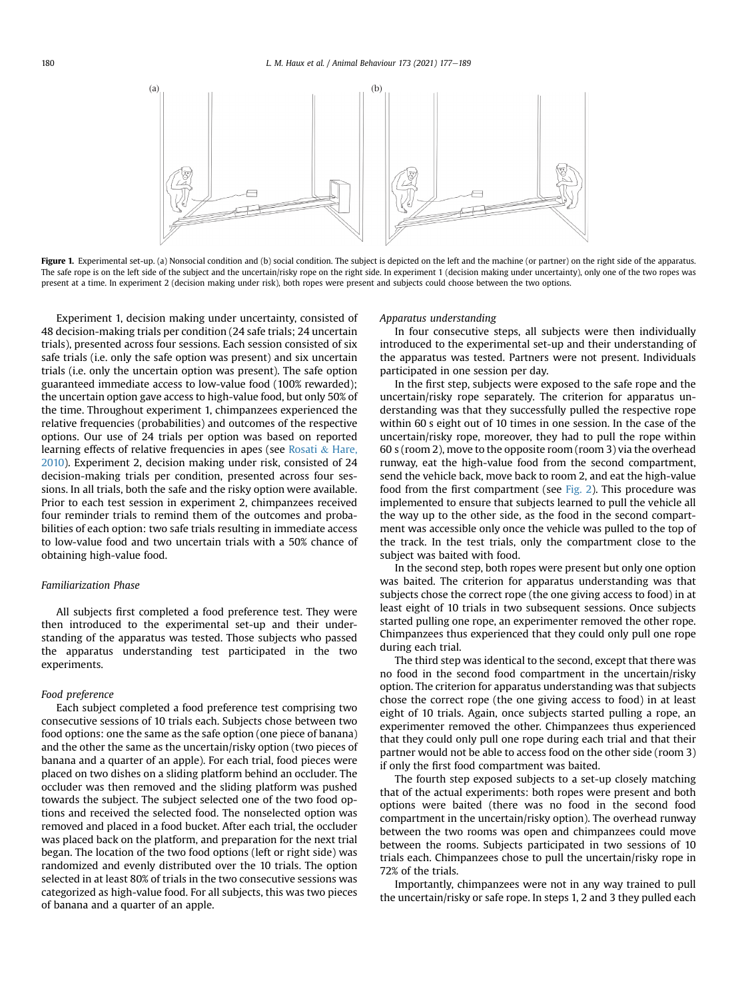<span id="page-3-0"></span>

Figure 1. Experimental set-up. (a) Nonsocial condition and (b) social condition. The subject is depicted on the left and the machine (or partner) on the right side of the apparatus. The safe rope is on the left side of the subject and the uncertain/risky rope on the right side. In experiment 1 (decision making under uncertainty), only one of the two ropes was present at a time. In experiment 2 (decision making under risk), both ropes were present and subjects could choose between the two options.

Experiment 1, decision making under uncertainty, consisted of 48 decision-making trials per condition (24 safe trials; 24 uncertain trials), presented across four sessions. Each session consisted of six safe trials (i.e. only the safe option was present) and six uncertain trials (i.e. only the uncertain option was present). The safe option guaranteed immediate access to low-value food (100% rewarded); the uncertain option gave access to high-value food, but only 50% of the time. Throughout experiment 1, chimpanzees experienced the relative frequencies (probabilities) and outcomes of the respective options. Our use of 24 trials per option was based on reported learning effects of relative frequencies in apes (see [Rosati](#page-9-20) & [Hare,](#page-9-20) [2010](#page-9-20)). Experiment 2, decision making under risk, consisted of 24 decision-making trials per condition, presented across four sessions. In all trials, both the safe and the risky option were available. Prior to each test session in experiment 2, chimpanzees received four reminder trials to remind them of the outcomes and probabilities of each option: two safe trials resulting in immediate access to low-value food and two uncertain trials with a 50% chance of obtaining high-value food.

## Familiarization Phase

All subjects first completed a food preference test. They were then introduced to the experimental set-up and their understanding of the apparatus was tested. Those subjects who passed the apparatus understanding test participated in the two experiments.

#### Food preference

Each subject completed a food preference test comprising two consecutive sessions of 10 trials each. Subjects chose between two food options: one the same as the safe option (one piece of banana) and the other the same as the uncertain/risky option (two pieces of banana and a quarter of an apple). For each trial, food pieces were placed on two dishes on a sliding platform behind an occluder. The occluder was then removed and the sliding platform was pushed towards the subject. The subject selected one of the two food options and received the selected food. The nonselected option was removed and placed in a food bucket. After each trial, the occluder was placed back on the platform, and preparation for the next trial began. The location of the two food options (left or right side) was randomized and evenly distributed over the 10 trials. The option selected in at least 80% of trials in the two consecutive sessions was categorized as high-value food. For all subjects, this was two pieces of banana and a quarter of an apple.

#### Apparatus understanding

In four consecutive steps, all subjects were then individually introduced to the experimental set-up and their understanding of the apparatus was tested. Partners were not present. Individuals participated in one session per day.

In the first step, subjects were exposed to the safe rope and the uncertain/risky rope separately. The criterion for apparatus understanding was that they successfully pulled the respective rope within 60 s eight out of 10 times in one session. In the case of the uncertain/risky rope, moreover, they had to pull the rope within 60 s (room 2), move to the opposite room (room 3) via the overhead runway, eat the high-value food from the second compartment, send the vehicle back, move back to room 2, and eat the high-value food from the first compartment (see [Fig. 2](#page-4-0)). This procedure was implemented to ensure that subjects learned to pull the vehicle all the way up to the other side, as the food in the second compartment was accessible only once the vehicle was pulled to the top of the track. In the test trials, only the compartment close to the subject was baited with food.

In the second step, both ropes were present but only one option was baited. The criterion for apparatus understanding was that subjects chose the correct rope (the one giving access to food) in at least eight of 10 trials in two subsequent sessions. Once subjects started pulling one rope, an experimenter removed the other rope. Chimpanzees thus experienced that they could only pull one rope during each trial.

The third step was identical to the second, except that there was no food in the second food compartment in the uncertain/risky option. The criterion for apparatus understanding was that subjects chose the correct rope (the one giving access to food) in at least eight of 10 trials. Again, once subjects started pulling a rope, an experimenter removed the other. Chimpanzees thus experienced that they could only pull one rope during each trial and that their partner would not be able to access food on the other side (room 3) if only the first food compartment was baited.

The fourth step exposed subjects to a set-up closely matching that of the actual experiments: both ropes were present and both options were baited (there was no food in the second food compartment in the uncertain/risky option). The overhead runway between the two rooms was open and chimpanzees could move between the rooms. Subjects participated in two sessions of 10 trials each. Chimpanzees chose to pull the uncertain/risky rope in 72% of the trials.

Importantly, chimpanzees were not in any way trained to pull the uncertain/risky or safe rope. In steps 1, 2 and 3 they pulled each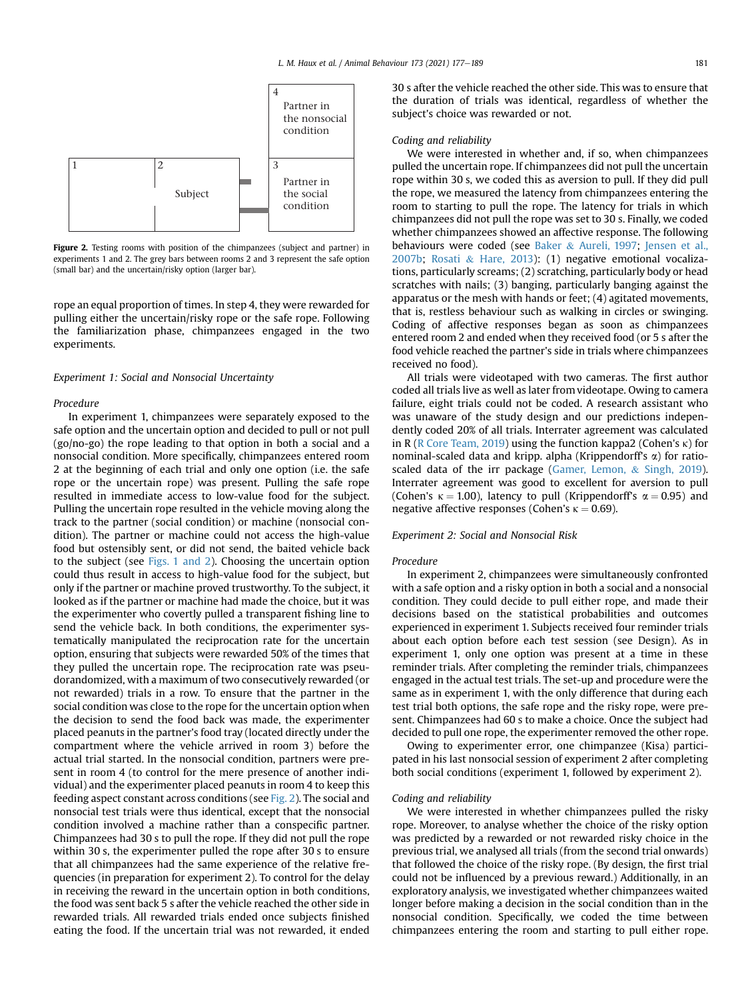<span id="page-4-0"></span>

Figure 2. Testing rooms with position of the chimpanzees (subject and partner) in experiments 1 and 2. The grey bars between rooms 2 and 3 represent the safe option (small bar) and the uncertain/risky option (larger bar).

rope an equal proportion of times. In step 4, they were rewarded for pulling either the uncertain/risky rope or the safe rope. Following the familiarization phase, chimpanzees engaged in the two experiments.

#### Experiment 1: Social and Nonsocial Uncertainty

#### Procedure

In experiment 1, chimpanzees were separately exposed to the safe option and the uncertain option and decided to pull or not pull (go/no-go) the rope leading to that option in both a social and a nonsocial condition. More specifically, chimpanzees entered room 2 at the beginning of each trial and only one option (i.e. the safe rope or the uncertain rope) was present. Pulling the safe rope resulted in immediate access to low-value food for the subject. Pulling the uncertain rope resulted in the vehicle moving along the track to the partner (social condition) or machine (nonsocial condition). The partner or machine could not access the high-value food but ostensibly sent, or did not send, the baited vehicle back to the subject (see [Figs. 1 and 2\)](#page-3-0). Choosing the uncertain option could thus result in access to high-value food for the subject, but only if the partner or machine proved trustworthy. To the subject, it looked as if the partner or machine had made the choice, but it was the experimenter who covertly pulled a transparent fishing line to send the vehicle back. In both conditions, the experimenter systematically manipulated the reciprocation rate for the uncertain option, ensuring that subjects were rewarded 50% of the times that they pulled the uncertain rope. The reciprocation rate was pseudorandomized, with a maximum of two consecutively rewarded (or not rewarded) trials in a row. To ensure that the partner in the social condition was close to the rope for the uncertain option when the decision to send the food back was made, the experimenter placed peanuts in the partner's food tray (located directly under the compartment where the vehicle arrived in room 3) before the actual trial started. In the nonsocial condition, partners were present in room 4 (to control for the mere presence of another individual) and the experimenter placed peanuts in room 4 to keep this feeding aspect constant across conditions (see [Fig. 2](#page-4-0)). The social and nonsocial test trials were thus identical, except that the nonsocial condition involved a machine rather than a conspecific partner. Chimpanzees had 30 s to pull the rope. If they did not pull the rope within 30 s, the experimenter pulled the rope after 30 s to ensure that all chimpanzees had the same experience of the relative frequencies (in preparation for experiment 2). To control for the delay in receiving the reward in the uncertain option in both conditions, the food was sent back 5 s after the vehicle reached the other side in rewarded trials. All rewarded trials ended once subjects finished eating the food. If the uncertain trial was not rewarded, it ended 30 s after the vehicle reached the other side. This was to ensure that the duration of trials was identical, regardless of whether the subject's choice was rewarded or not.

#### Coding and reliability

We were interested in whether and, if so, when chimpanzees pulled the uncertain rope. If chimpanzees did not pull the uncertain rope within 30 s, we coded this as aversion to pull. If they did pull the rope, we measured the latency from chimpanzees entering the room to starting to pull the rope. The latency for trials in which chimpanzees did not pull the rope was set to 30 s. Finally, we coded whether chimpanzees showed an affective response. The following behaviours were coded (see [Baker](#page-8-14) & [Aureli, 1997;](#page-8-14) [Jensen et al.,](#page-9-27) [2007b](#page-9-27); [Rosati](#page-9-28) & [Hare, 2013\)](#page-9-28): (1) negative emotional vocalizations, particularly screams; (2) scratching, particularly body or head scratches with nails; (3) banging, particularly banging against the apparatus or the mesh with hands or feet; (4) agitated movements, that is, restless behaviour such as walking in circles or swinging. Coding of affective responses began as soon as chimpanzees entered room 2 and ended when they received food (or 5 s after the food vehicle reached the partner's side in trials where chimpanzees received no food).

All trials were videotaped with two cameras. The first author coded all trials live as well as later from videotape. Owing to camera failure, eight trials could not be coded. A research assistant who was unaware of the study design and our predictions independently coded 20% of all trials. Interrater agreement was calculated in R ([R Core Team, 2019\)](#page-9-29) using the function kappa2 (Cohen's  $\kappa$ ) for nominal-scaled data and kripp. alpha (Krippendorff's  $\alpha$ ) for ratioscaled data of the irr package ([Gamer, Lemon,](#page-9-30) & [Singh, 2019\)](#page-9-30). Interrater agreement was good to excellent for aversion to pull (Cohen's  $\kappa = 1.00$ ), latency to pull (Krippendorff's  $\alpha = 0.95$ ) and negative affective responses (Cohen's  $\kappa = 0.69$ ).

#### Experiment 2: Social and Nonsocial Risk

#### Procedure

In experiment 2, chimpanzees were simultaneously confronted with a safe option and a risky option in both a social and a nonsocial condition. They could decide to pull either rope, and made their decisions based on the statistical probabilities and outcomes experienced in experiment 1. Subjects received four reminder trials about each option before each test session (see Design). As in experiment 1, only one option was present at a time in these reminder trials. After completing the reminder trials, chimpanzees engaged in the actual test trials. The set-up and procedure were the same as in experiment 1, with the only difference that during each test trial both options, the safe rope and the risky rope, were present. Chimpanzees had 60 s to make a choice. Once the subject had decided to pull one rope, the experimenter removed the other rope.

Owing to experimenter error, one chimpanzee (Kisa) participated in his last nonsocial session of experiment 2 after completing both social conditions (experiment 1, followed by experiment 2).

## Coding and reliability

We were interested in whether chimpanzees pulled the risky rope. Moreover, to analyse whether the choice of the risky option was predicted by a rewarded or not rewarded risky choice in the previous trial, we analysed all trials (from the second trial onwards) that followed the choice of the risky rope. (By design, the first trial could not be influenced by a previous reward.) Additionally, in an exploratory analysis, we investigated whether chimpanzees waited longer before making a decision in the social condition than in the nonsocial condition. Specifically, we coded the time between chimpanzees entering the room and starting to pull either rope.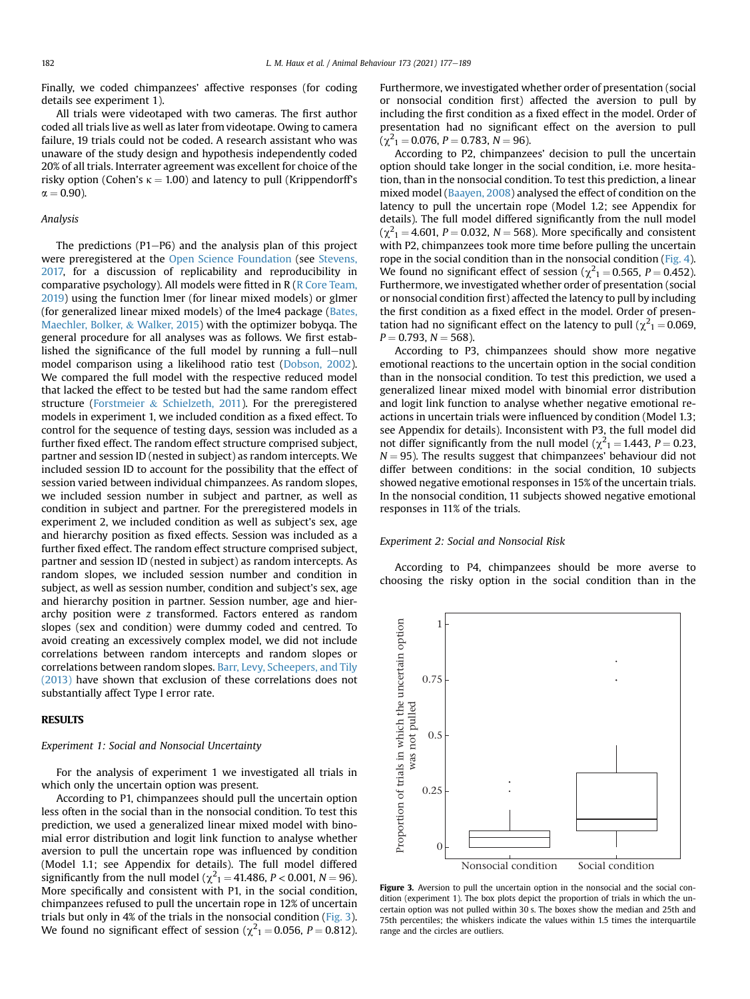Finally, we coded chimpanzees' affective responses (for coding details see experiment 1).

All trials were videotaped with two cameras. The first author coded all trials live as well as later from videotape. Owing to camera failure, 19 trials could not be coded. A research assistant who was unaware of the study design and hypothesis independently coded 20% of all trials. Interrater agreement was excellent for choice of the risky option (Cohen's  $\kappa = 1.00$ ) and latency to pull (Krippendorff's  $\alpha = 0.90$ ).

## Analysis

The predictions (P1 $-P6$ ) and the analysis plan of this project were preregistered at the [Open Science Foundation](https://osf.io/auv7c/?view_only=0b69fdcee67a4c5f9b44a475d7017896) (see [Stevens,](#page-9-31) [2017,](#page-9-31) for a discussion of replicability and reproducibility in comparative psychology). All models were fitted in R ([R Core Team,](#page-9-29) [2019](#page-9-29)) using the function lmer (for linear mixed models) or glmer (for generalized linear mixed models) of the lme4 package ([Bates,](#page-8-15) [Maechler, Bolker,](#page-8-15) & [Walker, 2015](#page-8-15)) with the optimizer bobyqa. The general procedure for all analyses was as follows. We first established the significance of the full model by running a full-null model comparison using a likelihood ratio test [\(Dobson, 2002\)](#page-8-16). We compared the full model with the respective reduced model that lacked the effect to be tested but had the same random effect structure [\(Forstmeier](#page-8-17) & [Schielzeth, 2011\)](#page-8-17). For the preregistered models in experiment 1, we included condition as a fixed effect. To control for the sequence of testing days, session was included as a further fixed effect. The random effect structure comprised subject, partner and session ID (nested in subject) as random intercepts. We included session ID to account for the possibility that the effect of session varied between individual chimpanzees. As random slopes, we included session number in subject and partner, as well as condition in subject and partner. For the preregistered models in experiment 2, we included condition as well as subject's sex, age and hierarchy position as fixed effects. Session was included as a further fixed effect. The random effect structure comprised subject, partner and session ID (nested in subject) as random intercepts. As random slopes, we included session number and condition in subject, as well as session number, condition and subject's sex, age and hierarchy position in partner. Session number, age and hierarchy position were z transformed. Factors entered as random slopes (sex and condition) were dummy coded and centred. To avoid creating an excessively complex model, we did not include correlations between random intercepts and random slopes or correlations between random slopes. [Barr, Levy, Scheepers, and Tily](#page-8-18) [\(2013\)](#page-8-18) have shown that exclusion of these correlations does not substantially affect Type I error rate.

## RESULTS

#### Experiment 1: Social and Nonsocial Uncertainty

For the analysis of experiment 1 we investigated all trials in which only the uncertain option was present.

According to P1, chimpanzees should pull the uncertain option less often in the social than in the nonsocial condition. To test this prediction, we used a generalized linear mixed model with binomial error distribution and logit link function to analyse whether aversion to pull the uncertain rope was influenced by condition (Model 1.1; see Appendix for details). The full model differed significantly from the null model ( $\chi^2_1$  = 41.486, P < 0.001, N = 96). More specifically and consistent with P1, in the social condition, chimpanzees refused to pull the uncertain rope in 12% of uncertain trials but only in 4% of the trials in the nonsocial condition ([Fig. 3\)](#page-5-0). We found no significant effect of session ( $\chi^2_{1}$  = 0.056, P = 0.812).

Furthermore, we investigated whether order of presentation (social or nonsocial condition first) affected the aversion to pull by including the first condition as a fixed effect in the model. Order of presentation had no significant effect on the aversion to pull  $(\chi^2_1 = 0.076, P = 0.783, N = 96).$ 

According to P2, chimpanzees' decision to pull the uncertain option should take longer in the social condition, i.e. more hesitation, than in the nonsocial condition. To test this prediction, a linear mixed model ([Baayen, 2008\)](#page-8-19) analysed the effect of condition on the latency to pull the uncertain rope (Model 1.2; see Appendix for details). The full model differed significantly from the null model  $(\chi^2_1 = 4.601, P = 0.032, N = 568)$ . More specifically and consistent with P2, chimpanzees took more time before pulling the uncertain rope in the social condition than in the nonsocial condition [\(Fig. 4\)](#page-6-0). We found no significant effect of session ( $\chi^2$ <sub>1</sub> = 0.565, P = 0.452). Furthermore, we investigated whether order of presentation (social or nonsocial condition first) affected the latency to pull by including the first condition as a fixed effect in the model. Order of presentation had no significant effect on the latency to pull ( $\chi^2$ <sub>1</sub> = 0.069,  $P = 0.793$ ,  $N = 568$ ).

According to P3, chimpanzees should show more negative emotional reactions to the uncertain option in the social condition than in the nonsocial condition. To test this prediction, we used a generalized linear mixed model with binomial error distribution and logit link function to analyse whether negative emotional reactions in uncertain trials were influenced by condition (Model 1.3; see Appendix for details). Inconsistent with P3, the full model did not differ significantly from the null model ( $\chi^2$ <sub>1</sub> = 1.443, *P* = 0.23,  $N = 95$ ). The results suggest that chimpanzees' behaviour did not differ between conditions: in the social condition, 10 subjects showed negative emotional responses in 15% of the uncertain trials. In the nonsocial condition, 11 subjects showed negative emotional responses in 11% of the trials.

#### Experiment 2: Social and Nonsocial Risk

According to P4, chimpanzees should be more averse to choosing the risky option in the social condition than in the

<span id="page-5-0"></span>

Figure 3. Aversion to pull the uncertain option in the nonsocial and the social condition (experiment 1). The box plots depict the proportion of trials in which the uncertain option was not pulled within 30 s. The boxes show the median and 25th and 75th percentiles; the whiskers indicate the values within 1.5 times the interquartile range and the circles are outliers.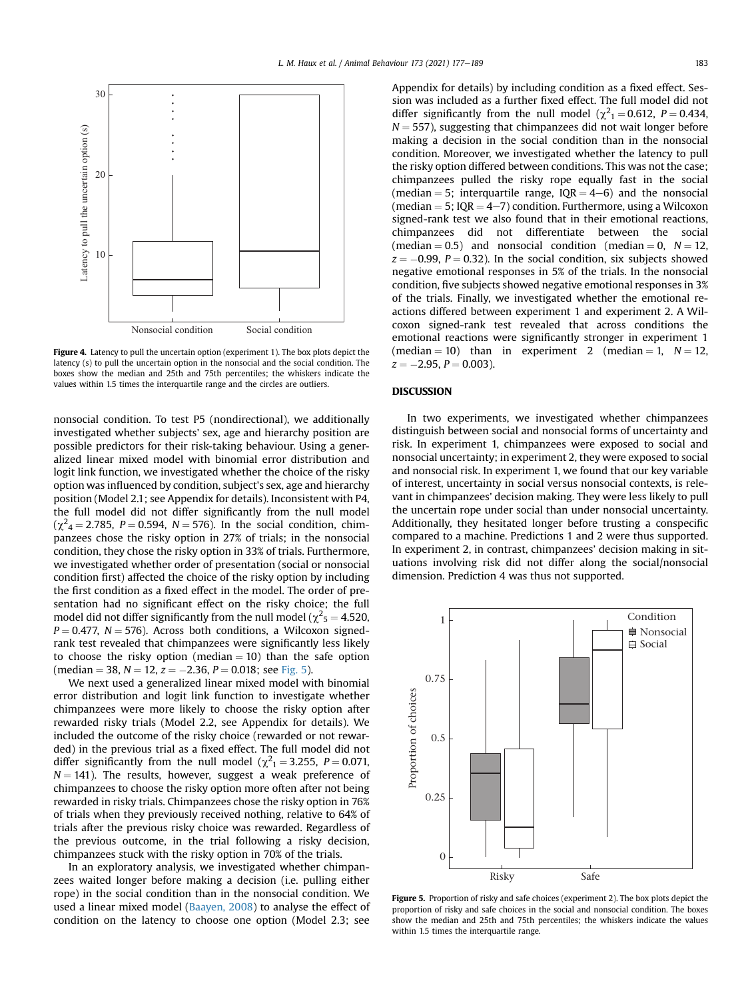<span id="page-6-0"></span>

Figure 4. Latency to pull the uncertain option (experiment 1). The box plots depict the latency (s) to pull the uncertain option in the nonsocial and the social condition. The boxes show the median and 25th and 75th percentiles; the whiskers indicate the values within 1.5 times the interquartile range and the circles are outliers.

nonsocial condition. To test P5 (nondirectional), we additionally investigated whether subjects' sex, age and hierarchy position are possible predictors for their risk-taking behaviour. Using a generalized linear mixed model with binomial error distribution and logit link function, we investigated whether the choice of the risky option was influenced by condition, subject's sex, age and hierarchy position (Model 2.1; see Appendix for details). Inconsistent with P4, the full model did not differ significantly from the null model  $(\chi^2_4 = 2.785, P = 0.594, N = 576)$ . In the social condition, chimpanzees chose the risky option in 27% of trials; in the nonsocial condition, they chose the risky option in 33% of trials. Furthermore, we investigated whether order of presentation (social or nonsocial condition first) affected the choice of the risky option by including the first condition as a fixed effect in the model. The order of presentation had no significant effect on the risky choice; the full model did not differ significantly from the null model ( $\chi^2$ <sub>5</sub> = 4.520,  $P = 0.477$ ,  $N = 576$ ). Across both conditions, a Wilcoxon signedrank test revealed that chimpanzees were significantly less likely to choose the risky option (median  $= 10$ ) than the safe option (median = 38,  $N = 12$ ,  $z = -2.36$ ,  $P = 0.018$ ; see [Fig. 5\)](#page-6-1).

We next used a generalized linear mixed model with binomial error distribution and logit link function to investigate whether chimpanzees were more likely to choose the risky option after rewarded risky trials (Model 2.2, see Appendix for details). We included the outcome of the risky choice (rewarded or not rewarded) in the previous trial as a fixed effect. The full model did not differ significantly from the null model ( $\chi^2$ <sub>1</sub> = 3.255, P = 0.071,  $N = 141$ ). The results, however, suggest a weak preference of chimpanzees to choose the risky option more often after not being rewarded in risky trials. Chimpanzees chose the risky option in 76% of trials when they previously received nothing, relative to 64% of trials after the previous risky choice was rewarded. Regardless of the previous outcome, in the trial following a risky decision, chimpanzees stuck with the risky option in 70% of the trials.

In an exploratory analysis, we investigated whether chimpanzees waited longer before making a decision (i.e. pulling either rope) in the social condition than in the nonsocial condition. We used a linear mixed model [\(Baayen, 2008\)](#page-8-19) to analyse the effect of condition on the latency to choose one option (Model 2.3; see Appendix for details) by including condition as a fixed effect. Session was included as a further fixed effect. The full model did not differ significantly from the null model ( $\chi^2$ <sub>1</sub> = 0.612, P = 0.434,  $N = 557$ ), suggesting that chimpanzees did not wait longer before making a decision in the social condition than in the nonsocial condition. Moreover, we investigated whether the latency to pull the risky option differed between conditions. This was not the case; chimpanzees pulled the risky rope equally fast in the social (median = 5; interquartile range,  $IQR = 4-6$ ) and the nonsocial (median  $= 5$ ; IQR  $= 4-7$ ) condition. Furthermore, using a Wilcoxon signed-rank test we also found that in their emotional reactions, chimpanzees did not differentiate between the social (median  $= 0.5$ ) and nonsocial condition (median  $= 0$ ,  $N = 12$ ,  $z = -0.99$ ,  $P = 0.32$ ). In the social condition, six subjects showed negative emotional responses in 5% of the trials. In the nonsocial condition, five subjects showed negative emotional responses in 3% of the trials. Finally, we investigated whether the emotional reactions differed between experiment 1 and experiment 2. A Wilcoxon signed-rank test revealed that across conditions the emotional reactions were significantly stronger in experiment 1 (median = 10) than in experiment 2 (median = 1,  $N = 12$ ,  $z = -2.95, P = 0.003$ ).

#### **DISCUSSION**

In two experiments, we investigated whether chimpanzees distinguish between social and nonsocial forms of uncertainty and risk. In experiment 1, chimpanzees were exposed to social and nonsocial uncertainty; in experiment 2, they were exposed to social and nonsocial risk. In experiment 1, we found that our key variable of interest, uncertainty in social versus nonsocial contexts, is relevant in chimpanzees' decision making. They were less likely to pull the uncertain rope under social than under nonsocial uncertainty. Additionally, they hesitated longer before trusting a conspecific compared to a machine. Predictions 1 and 2 were thus supported. In experiment 2, in contrast, chimpanzees' decision making in situations involving risk did not differ along the social/nonsocial dimension. Prediction 4 was thus not supported.

<span id="page-6-1"></span>

Figure 5. Proportion of risky and safe choices (experiment 2). The box plots depict the proportion of risky and safe choices in the social and nonsocial condition. The boxes show the median and 25th and 75th percentiles; the whiskers indicate the values within 1.5 times the interquartile range.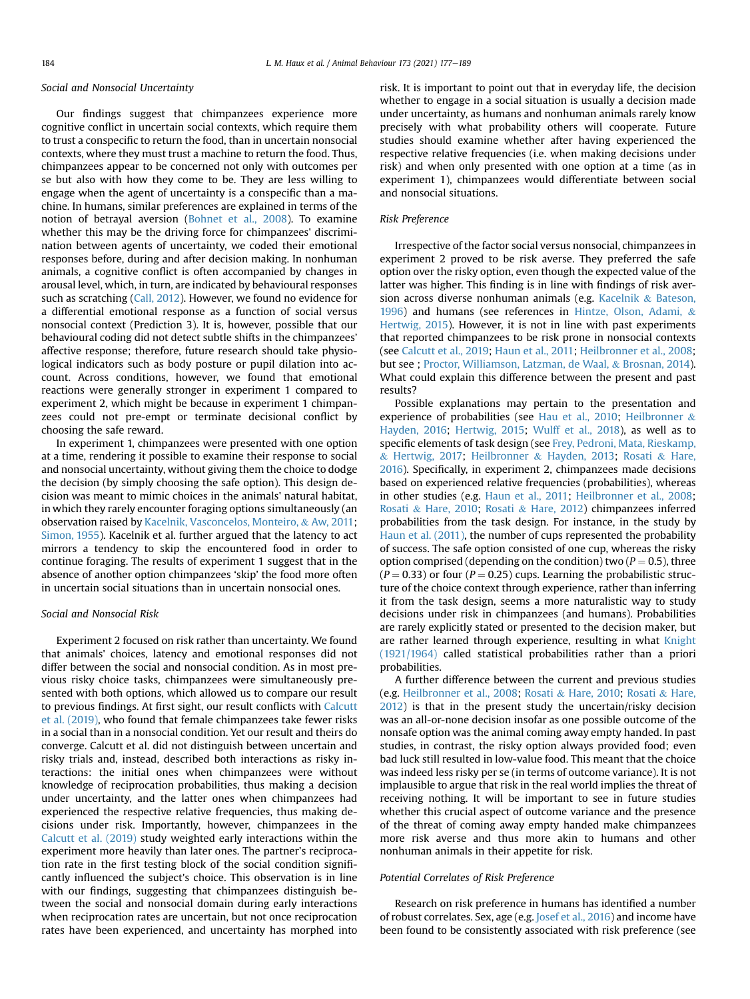#### Social and Nonsocial Uncertainty

Our findings suggest that chimpanzees experience more cognitive conflict in uncertain social contexts, which require them to trust a conspecific to return the food, than in uncertain nonsocial contexts, where they must trust a machine to return the food. Thus, chimpanzees appear to be concerned not only with outcomes per se but also with how they come to be. They are less willing to engage when the agent of uncertainty is a conspecific than a machine. In humans, similar preferences are explained in terms of the notion of betrayal aversion ([Bohnet et al., 2008](#page-8-7)). To examine whether this may be the driving force for chimpanzees' discrimination between agents of uncertainty, we coded their emotional responses before, during and after decision making. In nonhuman animals, a cognitive conflict is often accompanied by changes in arousal level, which, in turn, are indicated by behavioural responses such as scratching [\(Call, 2012\)](#page-8-13). However, we found no evidence for a differential emotional response as a function of social versus nonsocial context (Prediction 3). It is, however, possible that our behavioural coding did not detect subtle shifts in the chimpanzees' affective response; therefore, future research should take physiological indicators such as body posture or pupil dilation into account. Across conditions, however, we found that emotional reactions were generally stronger in experiment 1 compared to experiment 2, which might be because in experiment 1 chimpanzees could not pre-empt or terminate decisional conflict by choosing the safe reward.

In experiment 1, chimpanzees were presented with one option at a time, rendering it possible to examine their response to social and nonsocial uncertainty, without giving them the choice to dodge the decision (by simply choosing the safe option). This design decision was meant to mimic choices in the animals' natural habitat, in which they rarely encounter foraging options simultaneously (an observation raised by [Kacelnik, Vasconcelos, Monteiro,](#page-9-32) & [Aw, 2011](#page-9-32); [Simon, 1955](#page-9-33)). Kacelnik et al. further argued that the latency to act mirrors a tendency to skip the encountered food in order to continue foraging. The results of experiment 1 suggest that in the absence of another option chimpanzees 'skip' the food more often in uncertain social situations than in uncertain nonsocial ones.

## Social and Nonsocial Risk

Experiment 2 focused on risk rather than uncertainty. We found that animals' choices, latency and emotional responses did not differ between the social and nonsocial condition. As in most previous risky choice tasks, chimpanzees were simultaneously presented with both options, which allowed us to compare our result to previous findings. At first sight, our result conflicts with [Calcutt](#page-8-12) [et al. \(2019\),](#page-8-12) who found that female chimpanzees take fewer risks in a social than in a nonsocial condition. Yet our result and theirs do converge. Calcutt et al. did not distinguish between uncertain and risky trials and, instead, described both interactions as risky interactions: the initial ones when chimpanzees were without knowledge of reciprocation probabilities, thus making a decision under uncertainty, and the latter ones when chimpanzees had experienced the respective relative frequencies, thus making decisions under risk. Importantly, however, chimpanzees in the [Calcutt et al. \(2019\)](#page-8-12) study weighted early interactions within the experiment more heavily than later ones. The partner's reciprocation rate in the first testing block of the social condition significantly influenced the subject's choice. This observation is in line with our findings, suggesting that chimpanzees distinguish between the social and nonsocial domain during early interactions when reciprocation rates are uncertain, but not once reciprocation rates have been experienced, and uncertainty has morphed into risk. It is important to point out that in everyday life, the decision whether to engage in a social situation is usually a decision made under uncertainty, as humans and nonhuman animals rarely know precisely with what probability others will cooperate. Future studies should examine whether after having experienced the respective relative frequencies (i.e. when making decisions under risk) and when only presented with one option at a time (as in experiment 1), chimpanzees would differentiate between social and nonsocial situations.

#### Risk Preference

Irrespective of the factor social versus nonsocial, chimpanzees in experiment 2 proved to be risk averse. They preferred the safe option over the risky option, even though the expected value of the latter was higher. This finding is in line with findings of risk aversion across diverse nonhuman animals (e.g. [Kacelnik](#page-9-34) & [Bateson,](#page-9-34) [1996](#page-9-34)) and humans (see references in [Hintze, Olson, Adami,](#page-9-35) & [Hertwig, 2015](#page-9-35)). However, it is not in line with past experiments that reported chimpanzees to be risk prone in nonsocial contexts (see [Calcutt et al., 2019](#page-8-12); [Haun et al., 2011;](#page-9-19) [Heilbronner et al., 2008](#page-9-18); but see ; [Proctor, Williamson, Latzman, de Waal,](#page-9-36) & [Brosnan, 2014\)](#page-9-36). What could explain this difference between the present and past results?

Possible explanations may pertain to the presentation and experience of probabilities (see [Hau et al., 2010](#page-9-16); [Heilbronner](#page-9-15) & [Hayden, 2016;](#page-9-15) [Hertwig, 2015;](#page-9-17) [Wulff et al., 2018](#page-10-0)), as well as to specific elements of task design (see [Frey, Pedroni, Mata, Rieskamp,](#page-9-37) & [Hertwig, 2017](#page-9-37); [Heilbronner](#page-9-38) & [Hayden, 2013](#page-9-38); [Rosati](#page-9-39) & [Hare,](#page-9-39) [2016\)](#page-9-39). Specifically, in experiment 2, chimpanzees made decisions based on experienced relative frequencies (probabilities), whereas in other studies (e.g. [Haun et al., 2011](#page-9-19); [Heilbronner et al., 2008](#page-9-18); [Rosati](#page-9-20) & [Hare, 2010](#page-9-20); [Rosati](#page-9-40) & [Hare, 2012](#page-9-40)) chimpanzees inferred probabilities from the task design. For instance, in the study by [Haun et al. \(2011\),](#page-9-19) the number of cups represented the probability of success. The safe option consisted of one cup, whereas the risky option comprised (depending on the condition) two ( $P = 0.5$ ), three  $(P = 0.33)$  or four  $(P = 0.25)$  cups. Learning the probabilistic structure of the choice context through experience, rather than inferring it from the task design, seems a more naturalistic way to study decisions under risk in chimpanzees (and humans). Probabilities are rarely explicitly stated or presented to the decision maker, but are rather learned through experience, resulting in what [Knight](#page-9-10) [\(1921/1964\)](#page-9-10) called statistical probabilities rather than a priori probabilities.

A further difference between the current and previous studies (e.g. [Heilbronner et al., 2008](#page-9-18); [Rosati](#page-9-20) & [Hare, 2010](#page-9-20); [Rosati](#page-9-40) & [Hare,](#page-9-40) [2012](#page-9-40)) is that in the present study the uncertain/risky decision was an all-or-none decision insofar as one possible outcome of the nonsafe option was the animal coming away empty handed. In past studies, in contrast, the risky option always provided food; even bad luck still resulted in low-value food. This meant that the choice was indeed less risky per se (in terms of outcome variance). It is not implausible to argue that risk in the real world implies the threat of receiving nothing. It will be important to see in future studies whether this crucial aspect of outcome variance and the presence of the threat of coming away empty handed make chimpanzees more risk averse and thus more akin to humans and other nonhuman animals in their appetite for risk.

## Potential Correlates of Risk Preference

Research on risk preference in humans has identified a number of robust correlates. Sex, age (e.g. [Josef et al., 2016\)](#page-9-41) and income have been found to be consistently associated with risk preference (see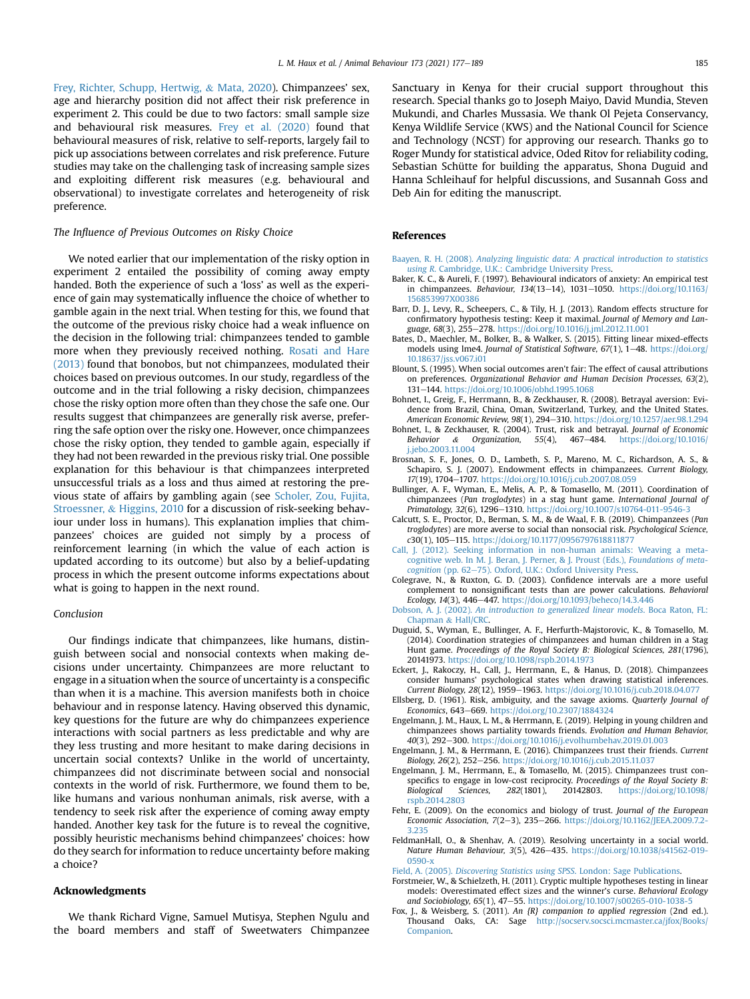[Frey, Richter, Schupp, Hertwig,](#page-9-42) & [Mata, 2020](#page-9-42)). Chimpanzees' sex, age and hierarchy position did not affect their risk preference in experiment 2. This could be due to two factors: small sample size and behavioural risk measures. [Frey et al. \(2020\)](#page-9-42) found that behavioural measures of risk, relative to self-reports, largely fail to pick up associations between correlates and risk preference. Future studies may take on the challenging task of increasing sample sizes and exploiting different risk measures (e.g. behavioural and observational) to investigate correlates and heterogeneity of risk preference.

## The Influence of Previous Outcomes on Risky Choice

We noted earlier that our implementation of the risky option in experiment 2 entailed the possibility of coming away empty handed. Both the experience of such a 'loss' as well as the experience of gain may systematically influence the choice of whether to gamble again in the next trial. When testing for this, we found that the outcome of the previous risky choice had a weak influence on the decision in the following trial: chimpanzees tended to gamble more when they previously received nothing. [Rosati and Hare](#page-9-28) [\(2013\)](#page-9-28) found that bonobos, but not chimpanzees, modulated their choices based on previous outcomes. In our study, regardless of the outcome and in the trial following a risky decision, chimpanzees chose the risky option more often than they chose the safe one. Our results suggest that chimpanzees are generally risk averse, preferring the safe option over the risky one. However, once chimpanzees chose the risky option, they tended to gamble again, especially if they had not been rewarded in the previous risky trial. One possible explanation for this behaviour is that chimpanzees interpreted unsuccessful trials as a loss and thus aimed at restoring the previous state of affairs by gambling again (see [Scholer, Zou, Fujita,](#page-9-43) [Stroessner,](#page-9-43) & [Higgins, 2010](#page-9-43) for a discussion of risk-seeking behaviour under loss in humans). This explanation implies that chimpanzees' choices are guided not simply by a process of reinforcement learning (in which the value of each action is updated according to its outcome) but also by a belief-updating process in which the present outcome informs expectations about what is going to happen in the next round.

#### Conclusion

Our findings indicate that chimpanzees, like humans, distinguish between social and nonsocial contexts when making decisions under uncertainty. Chimpanzees are more reluctant to engage in a situation when the source of uncertainty is a conspecific than when it is a machine. This aversion manifests both in choice behaviour and in response latency. Having observed this dynamic, key questions for the future are why do chimpanzees experience interactions with social partners as less predictable and why are they less trusting and more hesitant to make daring decisions in uncertain social contexts? Unlike in the world of uncertainty, chimpanzees did not discriminate between social and nonsocial contexts in the world of risk. Furthermore, we found them to be, like humans and various nonhuman animals, risk averse, with a tendency to seek risk after the experience of coming away empty handed. Another key task for the future is to reveal the cognitive, possibly heuristic mechanisms behind chimpanzees' choices: how do they search for information to reduce uncertainty before making a choice?

## Acknowledgments

We thank Richard Vigne, Samuel Mutisya, Stephen Ngulu and the board members and staff of Sweetwaters Chimpanzee Sanctuary in Kenya for their crucial support throughout this research. Special thanks go to Joseph Maiyo, David Mundia, Steven Mukundi, and Charles Mussasia. We thank Ol Pejeta Conservancy, Kenya Wildlife Service (KWS) and the National Council for Science and Technology (NCST) for approving our research. Thanks go to Roger Mundy for statistical advice, Oded Ritov for reliability coding, Sebastian Schütte for building the apparatus, Shona Duguid and Hanna Schleihauf for helpful discussions, and Susannah Goss and Deb Ain for editing the manuscript.

#### <span id="page-8-19"></span>References

- <span id="page-8-14"></span>Baayen, R. H. (2008). [Analyzing linguistic data: A practical introduction to statistics](http://refhub.elsevier.com/S0003-3472(21)00028-2/sref1) using R[. Cambridge, U.K.: Cambridge University Press](http://refhub.elsevier.com/S0003-3472(21)00028-2/sref1).
- <span id="page-8-18"></span>Baker, K. C., & Aureli, F. (1997). Behavioural indicators of anxiety: An empirical test in chimpanzees. Behaviour, 134(13-14), 1031-1050. [https://doi.org/10.1163/](https://doi.org/10.1163/156853997X00386) [156853997X00386](https://doi.org/10.1163/156853997X00386)
- <span id="page-8-15"></span>Barr, D. J., Levy, R., Scheepers, C., & Tily, H. J. (2013). Random effects structure for confirmatory hypothesis testing: Keep it maximal. Journal of Memory and Language, 68(3), 255-278. <https://doi.org/10.1016/j.jml.2012.11.001>
- <span id="page-8-3"></span>Bates, D., Maechler, M., Bolker, B., & Walker, S. (2015). Fitting linear mixed-effects models using lme4. Journal of Statistical Software, 67(1), 1-48. [https://doi.org/](https://doi.org/10.18637/jss.v067.i01) [10.18637/jss.v067.i01](https://doi.org/10.18637/jss.v067.i01)
- <span id="page-8-7"></span>Blount, S. (1995). When social outcomes aren't fair: The effect of causal attributions on preferences. Organizational Behavior and Human Decision Processes, 63(2), 131e144. <https://doi.org/10.1006/obhd.1995.1068>
- <span id="page-8-4"></span>Bohnet, I., Greig, F., Herrmann, B., & Zeckhauser, R. (2008). Betrayal aversion: Evidence from Brazil, China, Oman, Switzerland, Turkey, and the United States. American Economic Review, 98(1), 294-310. <https://doi.org/10.1257/aer.98.1.294>
- <span id="page-8-0"></span>Bohnet, I., & Zeckhauser, R. (2004). Trust, risk and betrayal. Journal of Economic Behavior & Organization, 55(4), 467-484. https://doi.org/10.1016/ Behavior & Organization, 55(4), 467e484. [https://doi.org/10.1016/](https://doi.org/10.1016/j.jebo.2003.11.004) [j.jebo.2003.11.004](https://doi.org/10.1016/j.jebo.2003.11.004)
- <span id="page-8-8"></span>Brosnan, S. F., Jones, O. D., Lambeth, S. P., Mareno, M. C., Richardson, A. S., & Schapiro, S. J. (2007). Endowment effects in chimpanzees. Current Biology, 17(19), 1704-1707. <https://doi.org/10.1016/j.cub.2007.08.059>
- <span id="page-8-12"></span>Bullinger, A. F., Wyman, E., Melis, A. P., & Tomasello, M. (2011). Coordination of chimpanzees (Pan troglodytes) in a stag hunt game. International Journal of Primatology, 32(6), 1296-1310. <https://doi.org/10.1007/s10764-011-9546-3>
- <span id="page-8-13"></span>Calcutt, S. E., Proctor, D., Berman, S. M., & de Waal, F. B. (2019). Chimpanzees (Pan troglodytes) are more averse to social than nonsocial risk. Psychological Science, c30(1), 105-115. <https://doi.org/10.1177/0956797618811877>
- <span id="page-8-23"></span>[Call, J. \(2012\). Seeking information in non-human animals: Weaving a meta](http://refhub.elsevier.com/S0003-3472(21)00028-2/sref11)[cognitive web. In M. J. Beran, J. Perner, & J. Proust \(Eds.\),](http://refhub.elsevier.com/S0003-3472(21)00028-2/sref11) Foundations of meta[cognition](http://refhub.elsevier.com/S0003-3472(21)00028-2/sref11) (pp. 62-[75\). Oxford, U.K.: Oxford University Press](http://refhub.elsevier.com/S0003-3472(21)00028-2/sref11).
- <span id="page-8-16"></span>Colegrave, N., & Ruxton, G. D. (2003). Confidence intervals are a more useful complement to nonsignificant tests than are power calculations. Behavioral Ecology, 14(3), 446-447. <https://doi.org/10.1093/beheco/14.3.446>
- <span id="page-8-9"></span>Dobson, A. J. (2002). [An introduction to generalized linear models](http://refhub.elsevier.com/S0003-3472(21)00028-2/sref13). Boca Raton, FL: [Chapman](http://refhub.elsevier.com/S0003-3472(21)00028-2/sref13) & [Hall/CRC.](http://refhub.elsevier.com/S0003-3472(21)00028-2/sref13)
- Duguid, S., Wyman, E., Bullinger, A. F., Herfurth-Majstorovic, K., & Tomasello, M. (2014). Coordination strategies of chimpanzees and human children in a Stag Hunt game. Proceedings of the Royal Society B: Biological Sciences, 281(1796), 20141973. <https://doi.org/10.1098/rspb.2014.1973>
- <span id="page-8-2"></span><span id="page-8-1"></span>Eckert, J., Rakoczy, H., Call, J., Herrmann, E., & Hanus, D. (2018). Chimpanzees consider humans' psychological states when drawing statistical inferences. Current Biology, 28(12), 1959-1963. <https://doi.org/10.1016/j.cub.2018.04.077>
- <span id="page-8-20"></span>Ellsberg, D. (1961). Risk, ambiguity, and the savage axioms. Quarterly Journal of Economics, 643–669. <https://doi.org/10.2307/1884324>
- <span id="page-8-10"></span>Engelmann, J. M., Haux, L. M., & Herrmann, E. (2019). Helping in young children and chimpanzees shows partiality towards friends. Evolution and Human Behavior, 40(3), 292-300. <https://doi.org/10.1016/j.evolhumbehav.2019.01.003>
- <span id="page-8-11"></span>Engelmann, J. M., & Herrmann, E. (2016). Chimpanzees trust their friends. Current Biology, 26(2), 252-256. <https://doi.org/10.1016/j.cub.2015.11.037>
- Engelmann, J. M., Herrmann, E., & Tomasello, M. (2015). Chimpanzees trust conspecifics to engage in low-cost reciprocity. Proceedings of the Royal Society B: Biological Sciences, 282(1801), 20142803. [https://doi.org/10.1098/](https://doi.org/10.1098/rspb.2014.2803) [rspb.2014.2803](https://doi.org/10.1098/rspb.2014.2803)
- <span id="page-8-6"></span><span id="page-8-5"></span>Fehr, E. (2009). On the economics and biology of trust. Journal of the European Economic Association, 7(2-3), 235-266. [https://doi.org/10.1162/JEEA.2009.7.2-](https://doi.org/10.1162/JEEA.2009.7.2-3.235) [3.235](https://doi.org/10.1162/JEEA.2009.7.2-3.235)
- <span id="page-8-21"></span>FeldmanHall, O., & Shenhav, A. (2019). Resolving uncertainty in a social world. Nature Human Behaviour, 3(5), 426-435. [https://doi.org/10.1038/s41562-019-](https://doi.org/10.1038/s41562-019-0590-x) [0590-x](https://doi.org/10.1038/s41562-019-0590-x)
- <span id="page-8-17"></span>Field, A. (2005). [Discovering Statistics using SPSS](http://refhub.elsevier.com/S0003-3472(21)00028-2/sref22). London: Sage Publications.
- <span id="page-8-22"></span>Forstmeier, W., & Schielzeth, H. (2011). Cryptic multiple hypotheses testing in linear models: Overestimated effect sizes and the winner's curse. Behavioral Ecology and Sociobiology, 65(1), 47-55. <https://doi.org/10.1007/s00265-010-1038-5>
- Fox, J., & Weisberg, S. (2011). An {R} companion to applied regression (2nd ed.). Thousand Oaks, CA: Sage [http://socserv.socsci.mcmaster.ca/jfox/Books/](http://socserv.socsci.mcmaster.ca/jfox/Books/Companion) [Companion](http://socserv.socsci.mcmaster.ca/jfox/Books/Companion).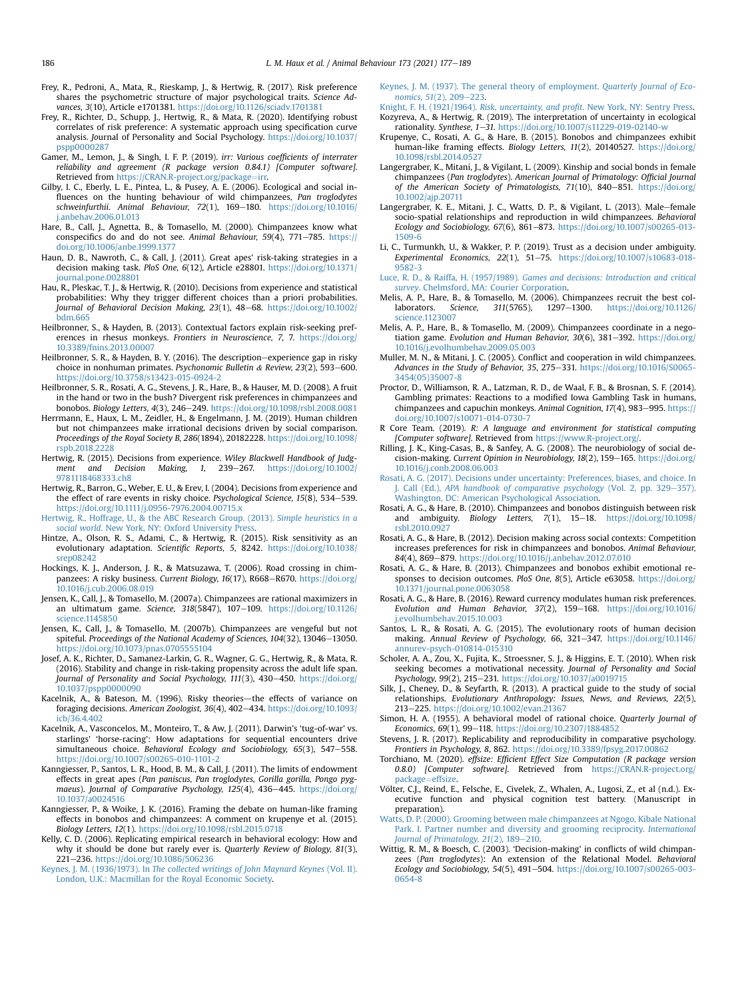- <span id="page-9-37"></span>Frey, R., Pedroni, A., Mata, R., Rieskamp, J., & Hertwig, R. (2017). Risk preference shares the psychometric structure of major psychological traits. Science Advances, 3(10), Article e1701381. <https://doi.org/10.1126/sciadv.1701381>
- <span id="page-9-42"></span>Frey, R., Richter, D., Schupp, J., Hertwig, R., & Mata, R. (2020). Identifying robust correlates of risk preference: A systematic approach using specification curve analysis. Journal of Personality and Social Psychology. [https://doi.org/10.1037/](https://doi.org/10.1037/pspp0000287) [pspp0000287](https://doi.org/10.1037/pspp0000287)
- <span id="page-9-30"></span>Gamer, M., Lemon, J., & Singh, I. F. P. (2019). irr: Various coefficients of interrater reliability and agreement (R package version 0.84.1) [Computer software]. Retrieved from [https://CRAN.R-project.org/package](https://CRAN.R-project.org/package=irr)=[irr.](https://CRAN.R-project.org/package=irr)
- <span id="page-9-2"></span>Gilby, I. C., Eberly, L. E., Pintea, L., & Pusey, A. E. (2006). Ecological and social influences on the hunting behaviour of wild chimpanzees, Pan troglodytes schweinfurthii. Animal Behaviour, 72(1), 169-180. [https://doi.org/10.1016/](https://doi.org/10.1016/j.anbehav.2006.01.013) [j.anbehav.2006.01.013](https://doi.org/10.1016/j.anbehav.2006.01.013)
- <span id="page-9-24"></span>Hare, B., Call, J., Agnetta, B., & Tomasello, M. (2000). Chimpanzees know what conspecifics do and do not see. Animal Behaviour,  $59(4)$ ,  $771-785$ . [https://](https://doi.org/10.1006/anbe.1999.1377) [doi.org/10.1006/anbe.1999.1377](https://doi.org/10.1006/anbe.1999.1377)
- <span id="page-9-19"></span>Haun, D. B., Nawroth, C., & Call, J. (2011). Great apes' risk-taking strategies in a decision making task. PloS One, 6(12), Article e28801. [https://doi.org/10.1371/](https://doi.org/10.1371/journal.pone.0028801) [journal.pone.0028801](https://doi.org/10.1371/journal.pone.0028801)
- <span id="page-9-16"></span>Hau, R., Pleskac, T. J., & Hertwig, R. (2010). Decisions from experience and statistical probabilities: Why they trigger different choices than a priori probabilities. Journal of Behavioral Decision Making, 23(1), 48-68. [https://doi.org/10.1002/](https://doi.org/10.1002/bdm.665) [bdm.665](https://doi.org/10.1002/bdm.665)
- <span id="page-9-38"></span>Heilbronner, S., & Hayden, B. (2013). Contextual factors explain risk-seeking preferences in rhesus monkeys. Frontiers in Neuroscience, 7, 7. [https://doi.org/](https://doi.org/10.3389/fnins.2013.00007) [10.3389/fnins.2013.00007](https://doi.org/10.3389/fnins.2013.00007)
- <span id="page-9-15"></span>Heilbronner, S. R., & Hayden, B. Y. (2016). The description-experience gap in risky choice in nonhuman primates. Psychonomic Bulletin & Review,  $23(2)$ , 593-600. <https://doi.org/10.3758/s13423-015-0924-2>
- <span id="page-9-18"></span>Heilbronner, S. R., Rosati, A. G., Stevens, J. R., Hare, B., & Hauser, M. D. (2008). A fruit in the hand or two in the bush? Divergent risk preferences in chimpanzees and bonobos. Biology Letters, 4(3), 246-249. <https://doi.org/10.1098/rsbl.2008.0081>
- <span id="page-9-44"></span>Herrmann, E., Haux, L. M., Zeidler, H., & Engelmann, J. M. (2019). Human children but not chimpanzees make irrational decisions driven by social comparison. Proceedings of the Royal Society B, 286(1894), 20182228. [https://doi.org/10.1098/](https://doi.org/10.1098/rspb.2018.2228) [rspb.2018.2228](https://doi.org/10.1098/rspb.2018.2228)
- <span id="page-9-17"></span>Hertwig, R. (2015). Decisions from experience. Wiley Blackwell Handbook of Judgment and Decision Making, 1, 239-267. [https://doi.org/10.1002/](https://doi.org/10.1002/9781118468333.ch8) [9781118468333.ch8](https://doi.org/10.1002/9781118468333.ch8)
- <span id="page-9-14"></span>Hertwig, R., Barron, G., Weber, E. U., & Erev, I. (2004). Decisions from experience and the effect of rare events in risky choice. Psychological Science, 15(8), 534-539. <https://doi.org/10.1111/j.0956-7976.2004.00715.x>
- <span id="page-9-21"></span>[Hertwig, R., Hoffrage, U., & the ABC Research Group. \(2013\).](http://refhub.elsevier.com/S0003-3472(21)00028-2/sref38) Simple heuristics in a social world[. New York, NY: Oxford University Press](http://refhub.elsevier.com/S0003-3472(21)00028-2/sref38).
- <span id="page-9-35"></span>Hintze, A., Olson, R. S., Adami, C., & Hertwig, R. (2015). Risk sensitivity as an evolutionary adaptation. Scientific Reports, 5, 8242. [https://doi.org/10.1038/](https://doi.org/10.1038/srep08242) [srep08242](https://doi.org/10.1038/srep08242)
- <span id="page-9-1"></span>Hockings, K. J., Anderson, J. R., & Matsuzawa, T. (2006). Road crossing in chimpanzees: A risky business. Current Biology, 16(17), R668-R670. [https://doi.org/](https://doi.org/10.1016/j.cub.2006.08.019) [10.1016/j.cub.2006.08.019](https://doi.org/10.1016/j.cub.2006.08.019)
- <span id="page-9-25"></span>Jensen, K., Call, J., & Tomasello, M. (2007a). Chimpanzees are rational maximizers in an ultimatum game. Science, 318(5847), 107-109. [https://doi.org/10.1126/](https://doi.org/10.1126/science.1145850) [science.1145850](https://doi.org/10.1126/science.1145850)
- <span id="page-9-27"></span>Jensen, K., Call, J., & Tomasello, M. (2007b). Chimpanzees are vengeful but not spiteful. Proceedings of the National Academy of Sciences, 104(32), 13046-13050. <https://doi.org/10.1073/pnas.0705555104>
- <span id="page-9-41"></span>Josef, A. K., Richter, D., Samanez-Larkin, G. R., Wagner, G. G., Hertwig, R., & Mata, R. (2016). Stability and change in risk-taking propensity across the adult life span. Journal of Personality and Social Psychology, 111(3), 430-450. [https://doi.org/](https://doi.org/10.1037/pspp0000090) [10.1037/pspp0000090](https://doi.org/10.1037/pspp0000090)
- <span id="page-9-34"></span>Kacelnik, A., & Bateson, M. (1996). Risky theories-the effects of variance on foraging decisions. American Zoologist, 36(4), 402-434. [https://doi.org/10.1093/](https://doi.org/10.1093/icb/36.4.402) [icb/36.4.402](https://doi.org/10.1093/icb/36.4.402)
- <span id="page-9-32"></span>Kacelnik, A., Vasconcelos, M., Monteiro, T., & Aw, J. (2011). Darwin's 'tug-of-war' vs. starlings' 'horse-racing': How adaptations for sequential encounters drive simultaneous choice. Behavioral Ecology and Sociobiology, 65(3), 547-558. <https://doi.org/10.1007/s00265-010-1101-2>
- <span id="page-9-8"></span>Kanngiesser, P., Santos, L. R., Hood, B. M., & Call, J. (2011). The limits of endowment effects in great apes (Pan paniscus, Pan troglodytes, Gorilla gorilla, Pongo pygmaeus). Journal of Comparative Psychology, 125(4), 436-445. [https://doi.org/](https://doi.org/10.1037/a0024516) [10.1037/a0024516](https://doi.org/10.1037/a0024516)
- <span id="page-9-7"></span>Kanngiesser, P., & Woike, J. K. (2016). Framing the debate on human-like framing effects in bonobos and chimpanzees: A comment on krupenye et al. (2015). Biology Letters, 12(1). <https://doi.org/10.1098/rsbl.2015.0718>
- <span id="page-9-52"></span>Kelly, C. D. (2006). Replicating empirical research in behavioral ecology: How and why it should be done but rarely ever is. Quarterly Review of Biology, 81(3), 221-236. <https://doi.org/10.1086/506236>
- <span id="page-9-11"></span>Keynes, J. M. (1936/1973). In [The collected writings of John Maynard Keynes](http://refhub.elsevier.com/S0003-3472(21)00028-2/sref49) (Vol. II). [London, U.K.: Macmillan for the Royal Economic Society.](http://refhub.elsevier.com/S0003-3472(21)00028-2/sref49)
- <span id="page-9-12"></span>[Keynes, J. M. \(1937\). The general theory of employment.](http://refhub.elsevier.com/S0003-3472(21)00028-2/sref50) Quarterly Journal of Economics,  $51(2)$ ,  $209-223$ .
- <span id="page-9-10"></span><span id="page-9-9"></span>Knight, F. H. (1921/1964). Risk, uncertainty, and profit[. New York, NY: Sentry Press](http://refhub.elsevier.com/S0003-3472(21)00028-2/sref51). Kozyreva, A., & Hertwig, R. (2019). The interpretation of uncertainty in ecological rationality. Synthese, 1-31. <https://doi.org/10.1007/s11229-019-02140-w>
- <span id="page-9-6"></span>Krupenye, C., Rosati, A. G., & Hare, B. (2015). Bonobos and chimpanzees exhibit human-like framing effects. Biology Letters, 11(2), 20140527. [https://doi.org/](https://doi.org/10.1098/rsbl.2014.0527) [10.1098/rsbl.2014.0527](https://doi.org/10.1098/rsbl.2014.0527)
- <span id="page-9-49"></span>Langergraber, K., Mitani, J., & Vigilant, L. (2009). Kinship and social bonds in female chimpanzees (Pan troglodytes). American Journal of Primatology: Official Journal of the American Society of Primatologists, 71(10), 840-851. [https://doi.org/](https://doi.org/10.1002/ajp.20711) [10.1002/ajp.20711](https://doi.org/10.1002/ajp.20711)
- <span id="page-9-50"></span>Langergraber, K. E., Mitani, J. C., Watts, D. P., & Vigilant, L. (2013). Male-female socio-spatial relationships and reproduction in wild chimpanzees. Behavioral Ecology and Sociobiology, 67(6), 861-873. [https://doi.org/10.1007/s00265-013-](https://doi.org/10.1007/s00265-013-1509-6) [1509-6](https://doi.org/10.1007/s00265-013-1509-6)
- <span id="page-9-22"></span>Li, C., Turmunkh, U., & Wakker, P. P. (2019). Trust as a decision under ambiguity. Experimental Economics, 22(1), 51-75. [https://doi.org/10.1007/s10683-018-](https://doi.org/10.1007/s10683-018-9582-3) [9582-3](https://doi.org/10.1007/s10683-018-9582-3)
- <span id="page-9-13"></span>Luce, R. D., & Raiffa, H. (1957/1989). [Games and decisions: Introduction and critical](http://refhub.elsevier.com/S0003-3472(21)00028-2/sref57) survey[. Chelmsford, MA: Courier Corporation](http://refhub.elsevier.com/S0003-3472(21)00028-2/sref57).
- <span id="page-9-3"></span>Melis, A. P., Hare, B., & Tomasello, M. (2006). Chimpanzees recruit the best collaborators. Science, 311(5765), 1297-1300. [https://doi.org/10.1126/](https://doi.org/10.1126/science.1123007) [science.1123007](https://doi.org/10.1126/science.1123007)
- <span id="page-9-26"></span>Melis, A. P., Hare, B., & Tomasello, M. (2009). Chimpanzees coordinate in a negotiation game. Evolution and Human Behavior,  $30(6)$ ,  $381-392$ . [https://doi.org/](https://doi.org/10.1016/j.evolhumbehav.2009.05.003) [10.1016/j.evolhumbehav.2009.05.003](https://doi.org/10.1016/j.evolhumbehav.2009.05.003)
- <span id="page-9-47"></span>Muller, M. N., & Mitani, I. C. (2005). Conflict and cooperation in wild chimpanzees. Advances in the Study of Behavior, 35, 275-331. [https://doi.org/10.1016/S0065-](https://doi.org/10.1016/S0065-3454(05)35007-8) [3454\(05\)35007-8](https://doi.org/10.1016/S0065-3454(05)35007-8)
- <span id="page-9-36"></span>Proctor, D., Williamson, R. A., Latzman, R. D., de Waal, F. B., & Brosnan, S. F. (2014). Gambling primates: Reactions to a modified Iowa Gambling Task in humans, chimpanzees and capuchin monkeys. Animal Cognition, 17(4), 983-995. [https://](https://doi.org/10.1007/s10071-014-0730-7) [doi.org/10.1007/s10071-014-0730-7](https://doi.org/10.1007/s10071-014-0730-7)
- <span id="page-9-29"></span>R Core Team. (2019). R: A language and environment for statistical computing [Computer software]. Retrieved from [https://www.R-project.org/.](https://www.R-project.org/)
- <span id="page-9-23"></span>Rilling, J. K., King-Casas, B., & Sanfey, A. G. (2008). The neurobiology of social decision-making. Current Opinion in Neurobiology, 18(2), 159-165. [https://doi.org/](https://doi.org/10.1016/j.conb.2008.06.003) [10.1016/j.conb.2008.06.003](https://doi.org/10.1016/j.conb.2008.06.003)
- <span id="page-9-4"></span>[Rosati, A. G. \(2017\). Decisions under uncertainty: Preferences, biases, and choice. In](http://refhub.elsevier.com/S0003-3472(21)00028-2/sref64) Call (Ed.), [APA handbook of comparative psychology](http://refhub.elsevier.com/S0003-3472(21)00028-2/sref64) (Vol. 2, pp. 329-[357\).](http://refhub.elsevier.com/S0003-3472(21)00028-2/sref64) [Washington, DC: American Psychological Association](http://refhub.elsevier.com/S0003-3472(21)00028-2/sref64).
- <span id="page-9-20"></span>Rosati, A. G., & Hare, B. (2010). Chimpanzees and bonobos distinguish between risk and ambiguity. Biology Letters,  $7(1)$ ,  $15-18$ . [https://doi.org/10.1098/](https://doi.org/10.1098/rsbl.2010.0927) [rsbl.2010.0927](https://doi.org/10.1098/rsbl.2010.0927)
- <span id="page-9-40"></span>Rosati, A. G., & Hare, B. (2012). Decision making across social contexts: Competition increases preferences for risk in chimpanzees and bonobos. Animal Behaviour, 84(4), 869-879. <https://doi.org/10.1016/j.anbehav.2012.07.010>
- <span id="page-9-28"></span>Rosati, A. G., & Hare, B. (2013). Chimpanzees and bonobos exhibit emotional responses to decision outcomes. PloS One, 8(5), Article e63058. [https://doi.org/](https://doi.org/10.1371/journal.pone.0063058) [10.1371/journal.pone.0063058](https://doi.org/10.1371/journal.pone.0063058)
- <span id="page-9-39"></span>Rosati, A. G., & Hare, B. (2016). Reward currency modulates human risk preferences. Evolution and Human Behavior,  $37(2)$ ,  $159-168$ . [https://doi.org/10.1016/](https://doi.org/10.1016/j.evolhumbehav.2015.10.003) [j.evolhumbehav.2015.10.003](https://doi.org/10.1016/j.evolhumbehav.2015.10.003)
- <span id="page-9-5"></span>Santos, L. R., & Rosati, A. G. (2015). The evolutionary roots of human decision making. Annual Review of Psychology, 66, 321-347. [https://doi.org/10.1146/](https://doi.org/10.1146/annurev-psych-010814-015310) [annurev-psych-010814-015310](https://doi.org/10.1146/annurev-psych-010814-015310)
- <span id="page-9-43"></span>Scholer, A. A., Zou, X., Fujita, K., Stroessner, S. J., & Higgins, E. T. (2010). When risk seeking becomes a motivational necessity. Journal of Personality and Social Psychology, 99(2), 215-231. <https://doi.org/10.1037/a0019715>
- <span id="page-9-46"></span>Silk, J., Cheney, D., & Seyfarth, R. (2013). A practical guide to the study of social relationships. Evolutionary Anthropology: Issues, News, and Reviews, 22(5), 213-225. <https://doi.org/10.1002/evan.21367>
- <span id="page-9-33"></span>Simon, H. A. (1955). A behavioral model of rational choice. Quarterly Journal of Economics, 69(1), 99-118. <https://doi.org/10.2307/1884852>
- <span id="page-9-31"></span>Stevens, J. R. (2017). Replicability and reproducibility in comparative psychology. Frontiers in Psychology, 8, 862. https://doi.org/10.3389/fpsyg.2017.0086
- <span id="page-9-51"></span>Torchiano, M. (2020). effsize: Efficient Effect Size Computation (R package version 0.8.0) [Computer software]. Retrieved from [https://CRAN.R-project.org/](https://CRAN.R-project.org/package=effsize) [package](https://CRAN.R-project.org/package=effsize)=[effsize](https://CRAN.R-project.org/package=effsize).
- <span id="page-9-45"></span>Völter, C.J., Reind, E., Felsche, E., Civelek, Z., Whalen, A., Lugosi, Z., et al (n.d.). Executive function and physical cognition test battery. (Manuscript in preparation).
- <span id="page-9-48"></span>[Watts, D. P. \(2000\). Grooming between male chimpanzees at Ngogo, Kibale National](http://refhub.elsevier.com/S0003-3472(21)00028-2/sref76) [Park. I. Partner number and diversity and grooming reciprocity.](http://refhub.elsevier.com/S0003-3472(21)00028-2/sref76) International Journal of Primatology,  $21(2)$ ,  $189-210$  $189-210$ .
- <span id="page-9-0"></span>Wittig, R. M., & Boesch, C. (2003). 'Decision-making' in conflicts of wild chimpanzees (Pan troglodytes): An extension of the Relational Model. Behavioral Ecology and Sociobiology, 54(5), 491-504. [https://doi.org/10.1007/s00265-003-](https://doi.org/10.1007/s00265-003-0654-8) [0654-8](https://doi.org/10.1007/s00265-003-0654-8)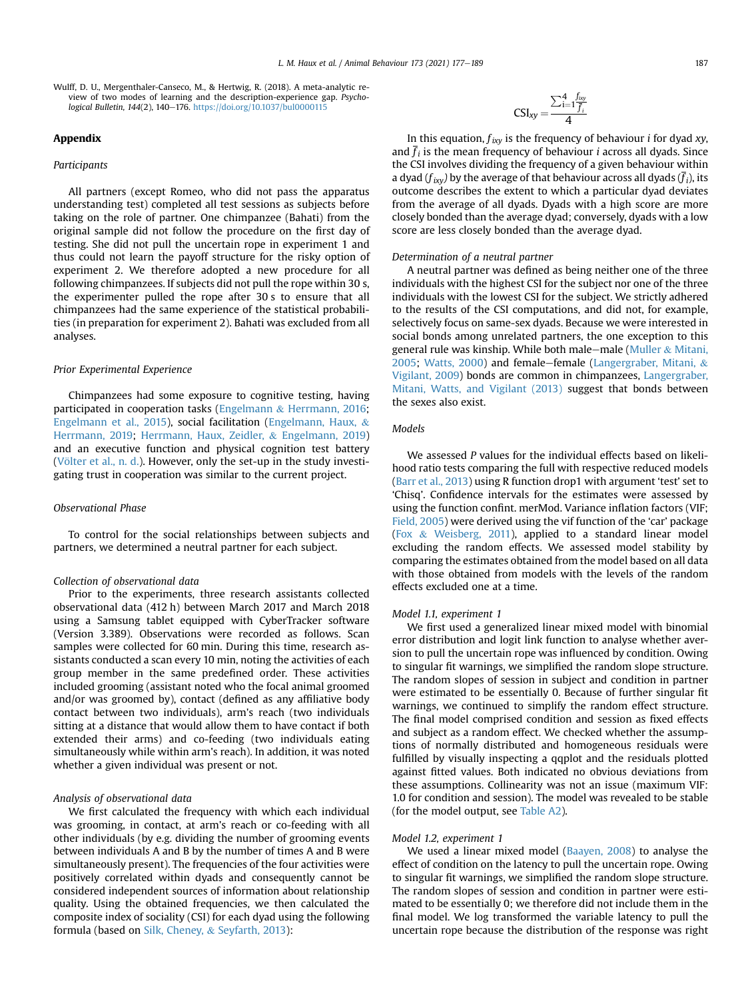<span id="page-10-0"></span>Wulff, D. U., Mergenthaler-Canseco, M., & Hertwig, R. (2018). A meta-analytic review of two modes of learning and the description-experience gap. Psychological Bulletin, 144(2), 140-176. <https://doi.org/10.1037/bul0000115>

## <span id="page-10-1"></span>Appendix

#### Participants

All partners (except Romeo, who did not pass the apparatus understanding test) completed all test sessions as subjects before taking on the role of partner. One chimpanzee (Bahati) from the original sample did not follow the procedure on the first day of testing. She did not pull the uncertain rope in experiment 1 and thus could not learn the payoff structure for the risky option of experiment 2. We therefore adopted a new procedure for all following chimpanzees. If subjects did not pull the rope within 30 s, the experimenter pulled the rope after 30 s to ensure that all chimpanzees had the same experience of the statistical probabilities (in preparation for experiment 2). Bahati was excluded from all analyses.

## Prior Experimental Experience

Chimpanzees had some exposure to cognitive testing, having participated in cooperation tasks [\(Engelmann](#page-8-10) & [Herrmann, 2016;](#page-8-10) [Engelmann et al., 2015](#page-8-11)), social facilitation [\(Engelmann, Haux,](#page-8-20) & [Herrmann, 2019](#page-8-20); [Herrmann, Haux, Zeidler,](#page-9-44) & [Engelmann, 2019\)](#page-9-44) and an executive function and physical cognition test battery (Völter et al., n. d.). However, only the set-up in the study investigating trust in cooperation was similar to the current project.

## Observational Phase

To control for the social relationships between subjects and partners, we determined a neutral partner for each subject.

## Collection of observational data

Prior to the experiments, three research assistants collected observational data (412 h) between March 2017 and March 2018 using a Samsung tablet equipped with CyberTracker software (Version 3.389). Observations were recorded as follows. Scan samples were collected for 60 min. During this time, research assistants conducted a scan every 10 min, noting the activities of each group member in the same predefined order. These activities included grooming (assistant noted who the focal animal groomed and/or was groomed by), contact (defined as any affiliative body contact between two individuals), arm's reach (two individuals sitting at a distance that would allow them to have contact if both extended their arms) and co-feeding (two individuals eating simultaneously while within arm's reach). In addition, it was noted whether a given individual was present or not.

#### Analysis of observational data

We first calculated the frequency with which each individual was grooming, in contact, at arm's reach or co-feeding with all other individuals (by e.g. dividing the number of grooming events between individuals A and B by the number of times A and B were simultaneously present). The frequencies of the four activities were positively correlated within dyads and consequently cannot be considered independent sources of information about relationship quality. Using the obtained frequencies, we then calculated the composite index of sociality (CSI) for each dyad using the following formula (based on [Silk, Cheney,](#page-9-46) & [Seyfarth, 2013](#page-9-46)):

$$
CSI_{xy} = \frac{\sum_{i=1}^{4} \frac{f_{ixy}}{\overline{f}_i}}{4}
$$

In this equation,  $f_{ixy}$  is the frequency of behaviour *i* for dyad xy, and  $f_i$  is the mean frequency of behaviour *i* across all dyads. Since the CSI involves dividing the frequency of a given behaviour within a dyad ( $f_{ixy}$ ) by the average of that behaviour across all dyads ( $\bar{f}_i$ ), its outcome describes the extent to which a particular dyad deviates from the average of all dyads. Dyads with a high score are more closely bonded than the average dyad; conversely, dyads with a low score are less closely bonded than the average dyad.

#### Determination of a neutral partner

A neutral partner was defined as being neither one of the three individuals with the highest CSI for the subject nor one of the three individuals with the lowest CSI for the subject. We strictly adhered to the results of the CSI computations, and did not, for example, selectively focus on same-sex dyads. Because we were interested in social bonds among unrelated partners, the one exception to this general rule was kinship. While both male-male [\(Muller](#page-9-47) & [Mitani,](#page-9-47) [2005;](#page-9-47) [Watts, 2000\)](#page-9-48) and female-female ([Langergraber, Mitani,](#page-9-49)  $\&$ [Vigilant, 2009\)](#page-9-49) bonds are common in chimpanzees, [Langergraber,](#page-9-50) [Mitani, Watts, and Vigilant \(2013\)](#page-9-50) suggest that bonds between the sexes also exist.

## Models

We assessed P values for the individual effects based on likelihood ratio tests comparing the full with respective reduced models ([Barr et al., 2013](#page-8-18)) using R function drop1 with argument 'test' set to 'Chisq'. Confidence intervals for the estimates were assessed by using the function confint. merMod. Variance inflation factors (VIF; [Field, 2005\)](#page-8-21) were derived using the vif function of the 'car' package ([Fox](#page-8-22) & [Weisberg, 2011\)](#page-8-22), applied to a standard linear model excluding the random effects. We assessed model stability by comparing the estimates obtained from the model based on all data with those obtained from models with the levels of the random effects excluded one at a time.

#### Model 1.1, experiment 1

We first used a generalized linear mixed model with binomial error distribution and logit link function to analyse whether aversion to pull the uncertain rope was influenced by condition. Owing to singular fit warnings, we simplified the random slope structure. The random slopes of session in subject and condition in partner were estimated to be essentially 0. Because of further singular fit warnings, we continued to simplify the random effect structure. The final model comprised condition and session as fixed effects and subject as a random effect. We checked whether the assumptions of normally distributed and homogeneous residuals were fulfilled by visually inspecting a qqplot and the residuals plotted against fitted values. Both indicated no obvious deviations from these assumptions. Collinearity was not an issue (maximum VIF: 1.0 for condition and session). The model was revealed to be stable (for the model output, see [Table A2\)](#page-10-1).

#### Model 1.2, experiment 1

We used a linear mixed model [\(Baayen, 2008\)](#page-8-19) to analyse the effect of condition on the latency to pull the uncertain rope. Owing to singular fit warnings, we simplified the random slope structure. The random slopes of session and condition in partner were estimated to be essentially 0; we therefore did not include them in the final model. We log transformed the variable latency to pull the uncertain rope because the distribution of the response was right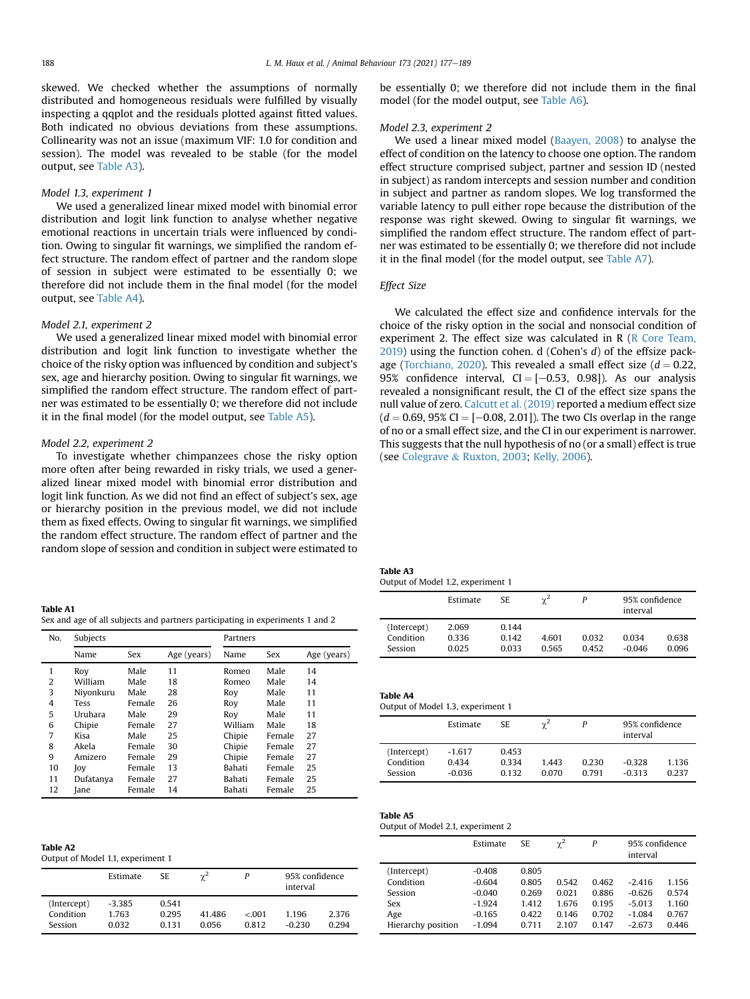skewed. We checked whether the assumptions of normally distributed and homogeneous residuals were fulfilled by visually inspecting a qqplot and the residuals plotted against fitted values. Both indicated no obvious deviations from these assumptions. Collinearity was not an issue (maximum VIF: 1.0 for condition and session). The model was revealed to be stable (for the model output, see [Table A3\)](#page-10-1).

## Model 1.3, experiment 1

We used a generalized linear mixed model with binomial error distribution and logit link function to analyse whether negative emotional reactions in uncertain trials were influenced by condition. Owing to singular fit warnings, we simplified the random effect structure. The random effect of partner and the random slope of session in subject were estimated to be essentially 0; we therefore did not include them in the final model (for the model output, see [Table A4\)](#page-10-1).

## Model 2.1, experiment 2

We used a generalized linear mixed model with binomial error distribution and logit link function to investigate whether the choice of the risky option was influenced by condition and subject's sex, age and hierarchy position. Owing to singular fit warnings, we simplified the random effect structure. The random effect of partner was estimated to be essentially 0; we therefore did not include it in the final model (for the model output, see [Table A5](#page-10-1)).

## Model 2.2, experiment 2

To investigate whether chimpanzees chose the risky option more often after being rewarded in risky trials, we used a generalized linear mixed model with binomial error distribution and logit link function. As we did not find an effect of subject's sex, age or hierarchy position in the previous model, we did not include them as fixed effects. Owing to singular fit warnings, we simplified the random effect structure. The random effect of partner and the random slope of session and condition in subject were estimated to

| Table A1                                                                      |  |
|-------------------------------------------------------------------------------|--|
| Sex and age of all subjects and partners participating in experiments 1 and 2 |  |

| No.            | Subjects    |        |             | Partners |        |             |  |  |
|----------------|-------------|--------|-------------|----------|--------|-------------|--|--|
|                | Name        | Sex    | Age (years) | Name     | Sex    | Age (years) |  |  |
| 1              | Roy         | Male   | 11          | Romeo    | Male   | 14          |  |  |
| 2              | William     | Male   | 18          | Romeo    | Male   | 14          |  |  |
| 3              | Niyonkuru   | Male   | 28          | Roy      | Male   | 11          |  |  |
| $\overline{4}$ | <b>Tess</b> | Female | 26          | Roy      | Male   | 11          |  |  |
| 5              | Uruhara     | Male   | 29          | Roy      | Male   | 11          |  |  |
| 6              | Chipie      | Female | 27          | William  | Male   | 18          |  |  |
| 7              | Kisa        | Male   | 25          | Chipie   | Female | 27          |  |  |
| 8              | Akela       | Female | 30          | Chipie   | Female | 27          |  |  |
| 9              | Amizero     | Female | 29          | Chipie   | Female | 27          |  |  |
| 10             | Joy         | Female | 13          | Bahati   | Female | 25          |  |  |
| 11             | Dufatanya   | Female | 27          | Bahati   | Female | 25          |  |  |
| 12             | Jane        | Female | 14          | Bahati   | Female | 25          |  |  |

| Table A2 |  |
|----------|--|
|----------|--|

Output of Model 1.1, experiment 1

|                                     | Estimate                 | SE.                    | $\gamma^2$      | Ρ               | 95% confidence<br>interval |                |
|-------------------------------------|--------------------------|------------------------|-----------------|-----------------|----------------------------|----------------|
| (Intercept)<br>Condition<br>Session | -3.385<br>1.763<br>0.032 | 0.541<br>0.295<br>0131 | 41.486<br>0.056 | < 0.01<br>0.812 | 1196<br>$-0.230$           | 2.376<br>0.294 |

be essentially 0; we therefore did not include them in the final model (for the model output, see [Table A6\)](#page-10-1).

#### Model 2.3, experiment 2

We used a linear mixed model ([Baayen, 2008\)](#page-8-19) to analyse the effect of condition on the latency to choose one option. The random effect structure comprised subject, partner and session ID (nested in subject) as random intercepts and session number and condition in subject and partner as random slopes. We log transformed the variable latency to pull either rope because the distribution of the response was right skewed. Owing to singular fit warnings, we simplified the random effect structure. The random effect of partner was estimated to be essentially 0; we therefore did not include it in the final model (for the model output, see [Table A7](#page-10-1)).

## Effect Size

We calculated the effect size and confidence intervals for the choice of the risky option in the social and nonsocial condition of experiment 2. The effect size was calculated in  $R$  ( $R$  Core Team,  $2019$ ) using the function cohen. d (Cohen's  $d$ ) of the effsize pack-age ([Torchiano, 2020](#page-9-51)). This revealed a small effect size ( $d = 0.22$ , 95% confidence interval,  $CI = [-0.53, 0.98]$ ). As our analysis revealed a nonsignificant result, the CI of the effect size spans the null value of zero. [Calcutt et al. \(2019\)](#page-8-12) reported a medium effect size  $(d = 0.69, 95\% \text{ CI} = [-0.08, 2.01])$ . The two CIs overlap in the range of no or a small effect size, and the CI in our experiment is narrower. This suggests that the null hypothesis of no (or a small) effect is true (see [Colegrave](#page-8-23) & [Ruxton, 2003](#page-8-23); [Kelly, 2006\)](#page-9-52).

| Table A3                          |  |  |
|-----------------------------------|--|--|
| Output of Model 1.2, experiment 1 |  |  |

|             | Estimate | SE.   | $\gamma^2$ |       | 95% confidence<br>interval |       |
|-------------|----------|-------|------------|-------|----------------------------|-------|
| (Intercept) | 2.069    | 0.144 |            |       |                            |       |
| Condition   | 0.336    | 0.142 | 4.601      | 0.032 | 0.034                      | 0.638 |
| Session     | 0.025    | 0.033 | 0.565      | 0.452 | $-0.046$                   | 0.096 |

| Table A4<br>Output of Model 1.3, experiment 1 |                               |                         |                |                |                            |                |  |  |
|-----------------------------------------------|-------------------------------|-------------------------|----------------|----------------|----------------------------|----------------|--|--|
|                                               | Estimate                      | SE.                     | $\gamma^2$     | P              | 95% confidence<br>interval |                |  |  |
| (Intercept)<br>Condition<br>Session           | $-1.617$<br>0.434<br>$-0.036$ | 0.453<br>0.334<br>0.132 | 1.443<br>0.070 | 0.230<br>0.791 | $-0.328$<br>$-0.313$       | 1.136<br>0.237 |  |  |

# Table A5

# Output of Model 2.1, experiment 2

|                    | Estimate | SE    | $\gamma^2$ | P     | 95% confidence<br>interval |       |
|--------------------|----------|-------|------------|-------|----------------------------|-------|
| (Intercept)        | $-0.408$ | 0.805 |            |       |                            |       |
| Condition          | $-0.604$ | 0.805 | 0.542      | 0.462 | $-2.416$                   | 1.156 |
| Session            | $-0.040$ | 0.269 | 0.021      | 0.886 | $-0.626$                   | 0.574 |
| Sex                | $-1.924$ | 1.412 | 1.676      | 0.195 | $-5.013$                   | 1.160 |
| Age                | $-0.165$ | 0.422 | 0.146      | 0.702 | $-1.084$                   | 0.767 |
| Hierarchy position | $-1.094$ | 0.711 | 2.107      | 0.147 | $-2.673$                   | 0.446 |